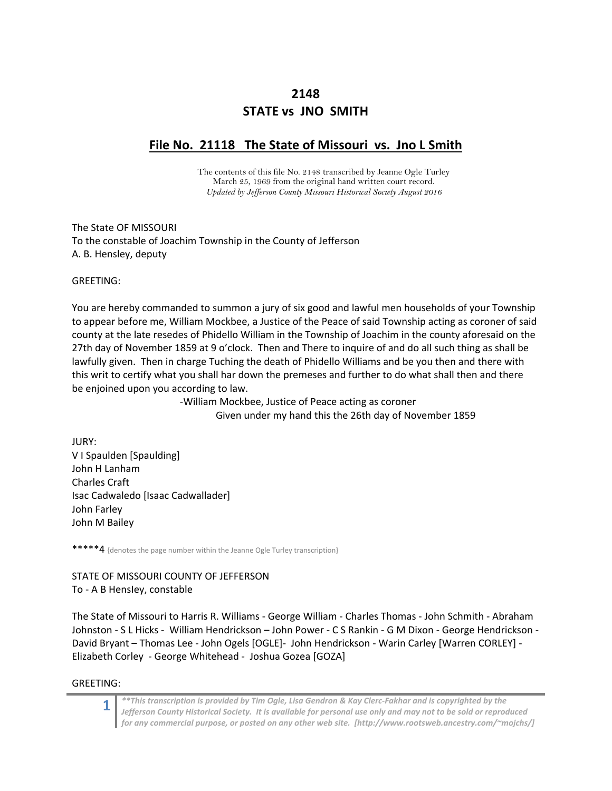# **2148 STATE vs JNO SMITH**

# **File No. 21118 The State of Missouri vs. Jno L Smith**

The contents of this file No. 2148 transcribed by Jeanne Ogle Turley March 25, 1969 from the original hand written court record. *Updated by Jefferson County Missouri Historical Society August 2016* 

The State OF MISSOURI To the constable of Joachim Township in the County of Jefferson A. B. Hensley, deputy

GREETING:

You are hereby commanded to summon a jury of six good and lawful men households of your Township to appear before me, William Mockbee, a Justice of the Peace of said Township acting as coroner of said county at the late resedes of Phidello William in the Township of Joachim in the county aforesaid on the 27th day of November 1859 at 9 o'clock. Then and There to inquire of and do all such thing as shall be lawfully given. Then in charge Tuching the death of Phidello Williams and be you then and there with this writ to certify what you shall har down the premeses and further to do what shall then and there be enjoined upon you according to law.

> ‐William Mockbee, Justice of Peace acting as coroner Given under my hand this the 26th day of November 1859

JURY: V I Spaulden [Spaulding] John H Lanham Charles Craft Isac Cadwaledo [Isaac Cadwallader] John Farley John M Bailey

\*\*\*\*\*4 {denotes the page number within the Jeanne Ogle Turley transcription}

STATE OF MISSOURI COUNTY OF JEFFERSON To ‐ A B HensIey, constable

The State of Missouri to Harris R. Williams ‐ George William ‐ Charles Thomas ‐ John Schmith ‐ Abraham Johnston ‐ S L Hicks ‐ William Hendrickson – John Power ‐ C S Rankin ‐ G M Dixon ‐ George Hendrickson ‐ David Bryant – Thomas Lee ‐ John Ogels [OGLE]‐ John Hendrickson ‐ Warin Carley [Warren CORLEY] ‐ Elizabeth Corley ‐ George Whitehead ‐ Joshua Gozea [GOZA]

GREETING: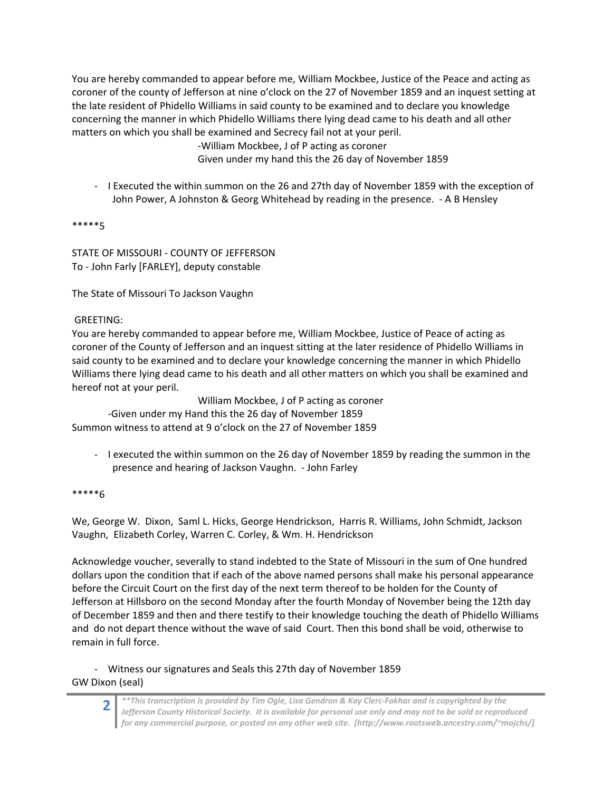You are hereby commanded to appear before me, William Mockbee, Justice of the Peace and acting as coroner of the county of Jefferson at nine o'clock on the 27 of November 1859 and an inquest setting at the late resident of Phidello Williams in said county to be examined and to declare you knowledge concerning the manner in which Phidello Williams there lying dead came to his death and all other matters on which you shall be examined and Secrecy fail not at your peril.

‐William Mockbee, J of P acting as coroner

Given under my hand this the 26 day of November 1859

‐ I Executed the within summon on the 26 and 27th day of November 1859 with the exception of John Power, A Johnston & Georg Whitehead by reading in the presence. ‐ A B Hensley

\*\*\*\*\*5

STATE OF MISSOURI ‐ COUNTY OF JEFFERSON To ‐ John Farly [FARLEY], deputy constable

The State of Missouri To Jackson Vaughn

## GREETING:

You are hereby commanded to appear before me, William Mockbee, Justice of Peace of acting as coroner of the County of Jefferson and an inquest sitting at the later residence of Phidello Williams in said county to be examined and to declare your knowledge concerning the manner in which Phidello Williams there lying dead came to his death and all other matters on which you shall be examined and hereof not at your peril.

William Mockbee, J of P acting as coroner

‐Given under my Hand this the 26 day of November 1859 Summon witness to attend at 9 o'clock on the 27 of November 1859

‐ I executed the within summon on the 26 day of November 1859 by reading the summon in the presence and hearing of Jackson Vaughn. ‐ John Farley

#### \*\*\*\*\*6

We, George W. Dixon, Saml L. Hicks, George Hendrickson, Harris R. Williams, John Schmidt, Jackson Vaughn, Elizabeth Corley, Warren C. Corley, & Wm. H. Hendrickson

Acknowledge voucher, severally to stand indebted to the State of Missouri in the sum of One hundred dollars upon the condition that if each of the above named persons shall make his personal appearance before the Circuit Court on the first day of the next term thereof to be holden for the County of Jefferson at Hillsboro on the second Monday after the fourth Monday of November being the 12th day of December 1859 and then and there testify to their knowledge touching the death of Phidello Williams and do not depart thence without the wave of said Court. Then this bond shall be void, otherwise to remain in full force.

## ‐ Witness our signatures and Seals this 27th day of November 1859

GW Dixon (seal)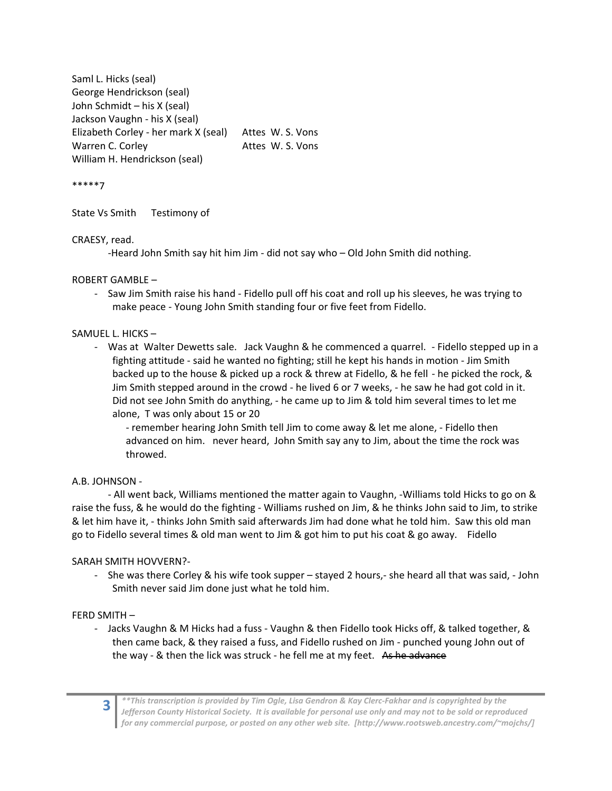Saml L. Hicks (seal) George Hendrickson (seal) John Schmidt – his X (seal) Jackson Vaughn ‐ his X (seal) Elizabeth Corley ‐ her mark X (seal) Attes W. S. Vons Warren C. Corley **Example 20 Set Constant** Attes W. S. Vons William H. Hendrickson (seal)

\*\*\*\*\*7

State Vs Smith Testimony of

#### CRAESY, read.

‐Heard John Smith say hit him Jim ‐ did not say who – Old John Smith did nothing.

## ROBERT GAMBLE –

‐ Saw Jim Smith raise his hand ‐ Fidello pull off his coat and roll up his sleeves, he was trying to make peace ‐ Young John Smith standing four or five feet from Fidello.

#### SAMUEL L. HICKS –

‐ Was at Walter Dewetts sale. Jack Vaughn & he commenced a quarrel. ‐ Fidello stepped up in a fighting attitude ‐ said he wanted no fighting; still he kept his hands in motion ‐ Jim Smith backed up to the house & picked up a rock & threw at Fidello, & he fell ‐ he picked the rock, & Jim Smith stepped around in the crowd ‐ he lived 6 or 7 weeks, ‐ he saw he had got cold in it. Did not see John Smith do anything, ‐ he came up to Jim & told him several times to let me alone, T was only about 15 or 20

‐ remember hearing John Smith tell Jim to come away & let me alone, ‐ Fidello then advanced on him. never heard, John Smith say any to Jim, about the time the rock was throwed.

## A.B. JOHNSON ‐

‐ All went back, Williams mentioned the matter again to Vaughn, ‐Williams told Hicks to go on & raise the fuss, & he would do the fighting ‐ Williams rushed on Jim, & he thinks John said to Jim, to strike & let him have it, ‐ thinks John Smith said afterwards Jim had done what he told him. Saw this old man go to Fidello several times & old man went to Jim & got him to put his coat & go away. Fidello

## SARAH SMITH HOVVERN?‐

- She was there Corley & his wife took supper – stayed 2 hours,- she heard all that was said, - John Smith never said Jim done just what he told him.

#### FERD SMITH –

‐ Jacks Vaughn & M Hicks had a fuss ‐ Vaughn & then Fidello took Hicks off, & talked together, & then came back, & they raised a fuss, and Fidello rushed on Jim ‐ punched young John out of the way - & then the lick was struck - he fell me at my feet. As he advance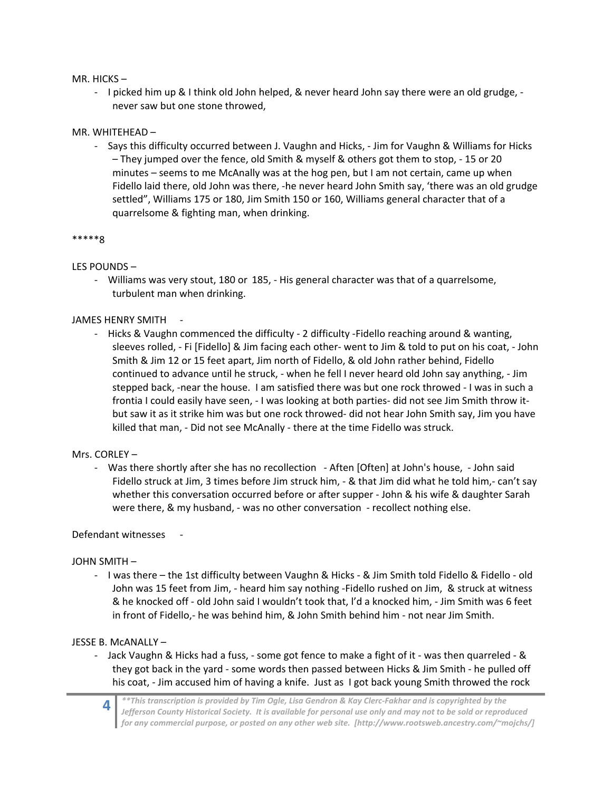#### MR. HICKS –

‐ I picked him up & I think old John helped, & never heard John say there were an old grudge, ‐ never saw but one stone throwed,

#### MR. WHITEHEAD –

‐ Says this difficulty occurred between J. Vaughn and Hicks, ‐ Jim for Vaughn & Williams for Hicks – They jumped over the fence, old Smith & myself & others got them to stop, ‐ 15 or 20 minutes – seems to me McAnally was at the hog pen, but I am not certain, came up when Fidello laid there, old John was there, ‐he never heard John Smith say, 'there was an old grudge settled", Williams 175 or 180, Jim Smith 150 or 160, Williams general character that of a quarrelsome & fighting man, when drinking.

#### \*\*\*\*\*8

## LES POUNDS –

‐ Williams was very stout, 180 or 185, ‐ His general character was that of a quarrelsome, turbulent man when drinking.

## JAMES HENRY SMITH ‐

‐ Hicks & Vaughn commenced the difficulty ‐ 2 difficulty ‐Fidello reaching around & wanting, sleeves rolled, ‐ Fi [Fidello] & Jim facing each other‐ went to Jim & told to put on his coat, ‐ John Smith & Jim 12 or 15 feet apart, Jim north of Fidello, & old John rather behind, Fidello continued to advance until he struck, ‐ when he fell I never heard old John say anything, ‐ Jim stepped back, ‐near the house. I am satisfied there was but one rock throwed ‐ I was in such a frontia I could easily have seen, - I was looking at both parties- did not see Jim Smith throw itbut saw it as it strike him was but one rock throwed‐ did not hear John Smith say, Jim you have killed that man, ‐ Did not see McAnally ‐ there at the time Fidello was struck.

## Mrs. CORLEY –

‐ Was there shortly after she has no recollection ‐ Aften [Often] at John's house, ‐ John said Fidello struck at Jim, 3 times before Jim struck him, ‐ & that Jim did what he told him,‐ can't say whether this conversation occurred before or after supper - John & his wife & daughter Sarah were there, & my husband, - was no other conversation - recollect nothing else.

## Defendant witnesses

## JOHN SMITH –

‐ I was there – the 1st difficulty between Vaughn & Hicks ‐ & Jim Smith told Fidello & Fidello ‐ old John was 15 feet from Jim, - heard him say nothing -Fidello rushed on Jim, & struck at witness & he knocked off ‐ old John said I wouldn't took that, l'd a knocked him, ‐ Jim Smith was 6 feet in front of Fidello,- he was behind him, & John Smith behind him - not near Jim Smith.

## JESSE B. McANALLY –

- ‐ Jack Vaughn & Hicks had a fuss, ‐ some got fence to make a fight of it ‐ was then quarreled ‐ & they got back in the yard ‐ some words then passed between Hicks & Jim Smith ‐ he pulled off his coat, - Jim accused him of having a knife. Just as I got back young Smith throwed the rock
	- **4**  *\*\*This transcription is provided by Tim Ogle, Lisa Gendron & Kay Clerc‐Fakhar and is copyrighted by the Jefferson County Historical Society. It is available for personal use only and may not to be sold or reproduced for any commercial purpose, or posted on any other web site. [http://www.rootsweb.ancestry.com/~mojchs/]*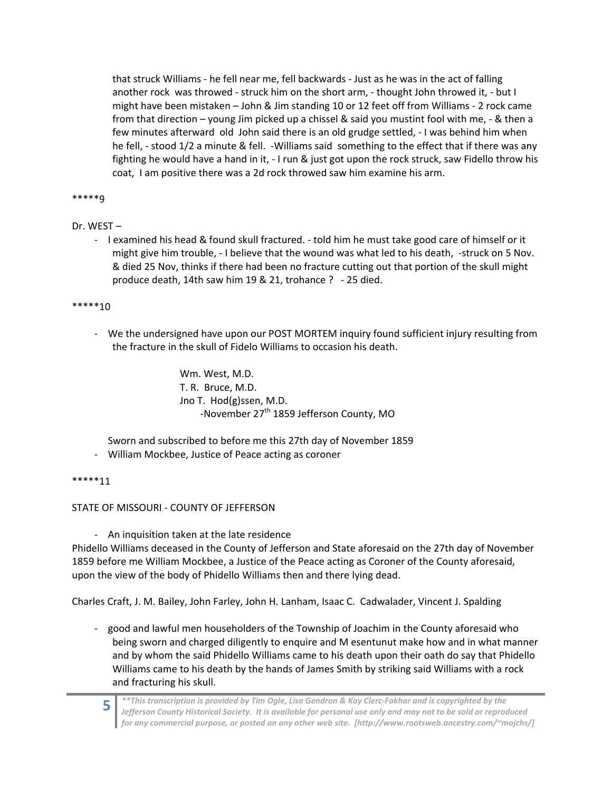that struck Williams ‐ he fell near me, fell backwards ‐ Just as he was in the act of falling another rock was throwed - struck him on the short arm, - thought John throwed it, - but I might have been mistaken – John & Jim standing 10 or 12 feet off from Williams ‐ 2 rock came from that direction – young Jim picked up a chissel & said you mustint fool with me, ‐ & then a few minutes afterward old John said there is an old grudge settled, ‐ I was behind him when he fell, - stood 1/2 a minute & fell. -Williams said something to the effect that if there was any fighting he would have a hand in it, ‐ I run & just got upon the rock struck, saw Fidello throw his coat, I am positive there was a 2d rock throwed saw him examine his arm.

#### \*\*\*\*\*9

## Dr. WEST –

‐ I examined his head & found skull fractured. ‐ told him he must take good care of himself or it might give him trouble, - I believe that the wound was what led to his death, -struck on 5 Nov. & died 25 Nov, thinks if there had been no fracture cutting out that portion of the skull might produce death, 14th saw him 19 & 21, trohance ? ‐ 25 died.

#### \*\*\*\*\*10

‐ We the undersigned have upon our POST MORTEM inquiry found sufficient injury resulting from the fracture in the skull of Fidelo Williams to occasion his death.

> Wm. West, M.D. T. R. Bruce, M.D. Jno T. Hod(g)ssen, M.D. -November 27<sup>th</sup> 1859 Jefferson County, MO

Sworn and subscribed to before me this 27th day of November 1859

‐ William Mockbee, Justice of Peace acting as coroner

#### \*\*\*\*\*11

STATE OF MISSOURI ‐ COUNTY OF JEFFERSON

‐ An inquisition taken at the late residence

Phidello Williams deceased in the County of Jefferson and State aforesaid on the 27th day of November 1859 before me William Mockbee, a Justice of the Peace acting as Coroner of the County aforesaid, upon the view of the body of Phidello Williams then and there lying dead.

Charles Craft, J. M. Bailey, John Farley, John H. Lanham, Isaac C. Cadwalader, Vincent J. Spalding

‐ good and lawful men householders of the Township of Joachim in the County aforesaid who being sworn and charged diligently to enquire and M esentunut make how and in what manner and by whom the said Phidello Williams came to his death upon their oath do say that Phidello Williams came to his death by the hands of James Smith by striking said Williams with a rock and fracturing his skull.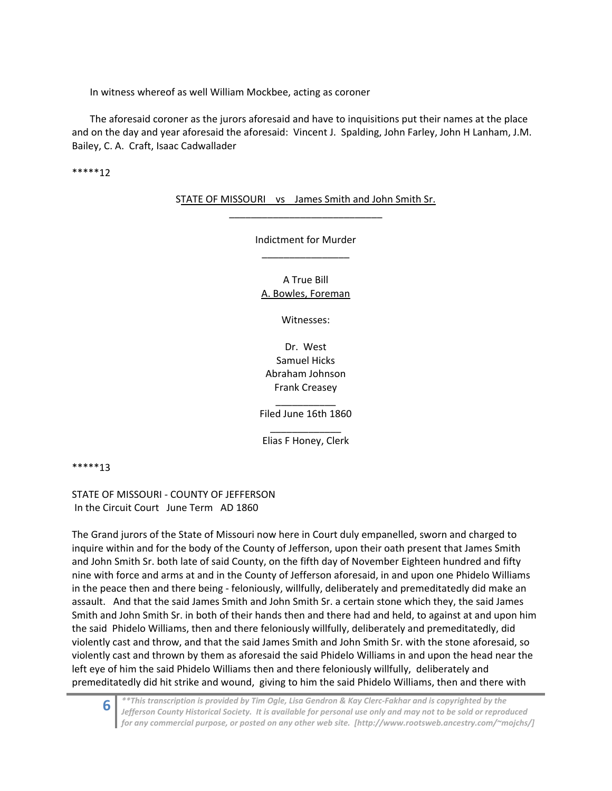In witness whereof as well William Mockbee, acting as coroner

The aforesaid coroner as the jurors aforesaid and have to inquisitions put their names at the place and on the day and year aforesaid the aforesaid: Vincent J. Spalding, John Farley, John H Lanham, J.M. Bailey, C. A. Craft, Isaac Cadwallader

\*\*\*\*\*12

STATE OF MISSOURI vs James Smith and John Smith Sr. \_\_\_\_\_\_\_\_\_\_\_\_\_\_\_\_\_\_\_\_\_\_\_\_\_\_\_\_

> Indictment for Murder \_\_\_\_\_\_\_\_\_\_\_\_\_\_\_\_

A True Bill A. Bowles, Foreman

Witnesses:

Dr. West Samuel Hicks Abraham Johnson Frank Creasey \_\_\_\_\_\_\_\_\_\_\_

Filed June 16th 1860

\_\_\_\_\_\_\_\_\_\_\_\_\_ Elias F Honey, Clerk

\*\*\*\*\*13

STATE OF MISSOURI ‐ COUNTY OF JEFFERSON In the Circuit Court June Term AD 1860

The Grand jurors of the State of Missouri now here in Court duly empanelled, sworn and charged to inquire within and for the body of the County of Jefferson, upon their oath present that James Smith and John Smith Sr. both late of said County, on the fifth day of November Eighteen hundred and fifty nine with force and arms at and in the County of Jefferson aforesaid, in and upon one Phidelo Williams in the peace then and there being ‐ feloniously, willfully, deliberately and premeditatedly did make an assault. And that the said James Smith and John Smith Sr. a certain stone which they, the said James Smith and John Smith Sr. in both of their hands then and there had and held, to against at and upon him the said Phidelo Williams, then and there feloniously willfully, deliberately and premeditatedly, did violently cast and throw, and that the said James Smith and John Smith Sr. with the stone aforesaid, so violently cast and thrown by them as aforesaid the said Phidelo Williams in and upon the head near the left eye of him the said Phidelo Williams then and there feloniously willfully, deliberately and premeditatedly did hit strike and wound, giving to him the said Phidelo Williams, then and there with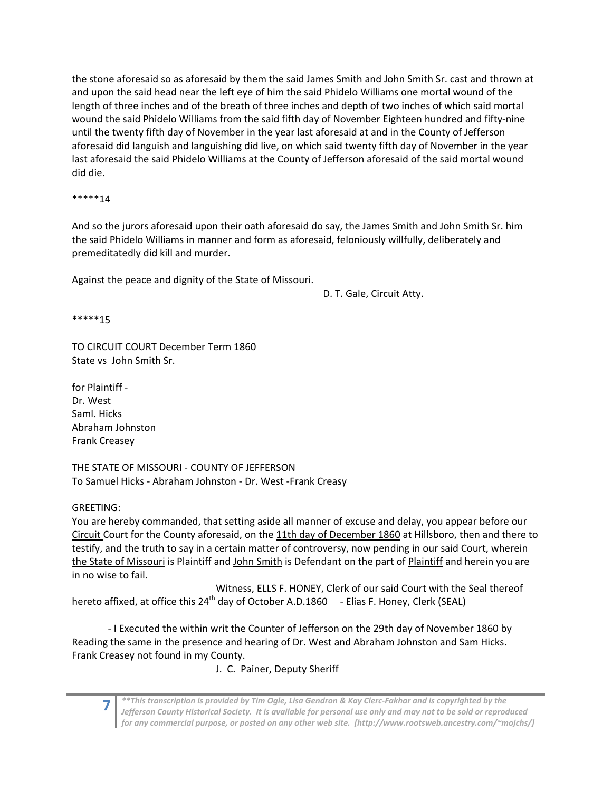the stone aforesaid so as aforesaid by them the said James Smith and John Smith Sr. cast and thrown at and upon the said head near the left eye of him the said Phidelo Williams one mortal wound of the length of three inches and of the breath of three inches and depth of two inches of which said mortal wound the said Phidelo Williams from the said fifth day of November Eighteen hundred and fifty‐nine until the twenty fifth day of November in the year last aforesaid at and in the County of Jefferson aforesaid did languish and languishing did live, on which said twenty fifth day of November in the year last aforesaid the said Phidelo Williams at the County of Jefferson aforesaid of the said mortal wound did die.

\*\*\*\*\*14

And so the jurors aforesaid upon their oath aforesaid do say, the James Smith and John Smith Sr. him the said Phidelo Williams in manner and form as aforesaid, feloniously willfully, deliberately and premeditatedly did kill and murder.

Against the peace and dignity of the State of Missouri.

D. T. Gale, Circuit Atty.

\*\*\*\*\*15

TO CIRCUIT COURT December Term 1860 State vs John Smith Sr.

for Plaintiff ‐ Dr. West Saml. Hicks Abraham Johnston Frank Creasey

THE STATE OF MISSOURI ‐ COUNTY OF JEFFERSON To Samuel Hicks ‐ Abraham Johnston ‐ Dr. West ‐Frank Creasy

GREETING:

You are hereby commanded, that setting aside all manner of excuse and delay, you appear before our Circuit Court for the County aforesaid, on the 11th day of December 1860 at Hillsboro, then and there to testify, and the truth to say in a certain matter of controversy, now pending in our said Court, wherein the State of Missouri is Plaintiff and John Smith is Defendant on the part of Plaintiff and herein you are in no wise to fail.

 Witness, ELLS F. HONEY, Clerk of our said Court with the Seal thereof hereto affixed, at office this 24<sup>th</sup> day of October A.D.1860 - Elias F. Honey, Clerk (SEAL)

‐ I Executed the within writ the Counter of Jefferson on the 29th day of November 1860 by Reading the same in the presence and hearing of Dr. West and Abraham Johnston and Sam Hicks. Frank Creasey not found in my County.

J. C. Painer, Deputy Sheriff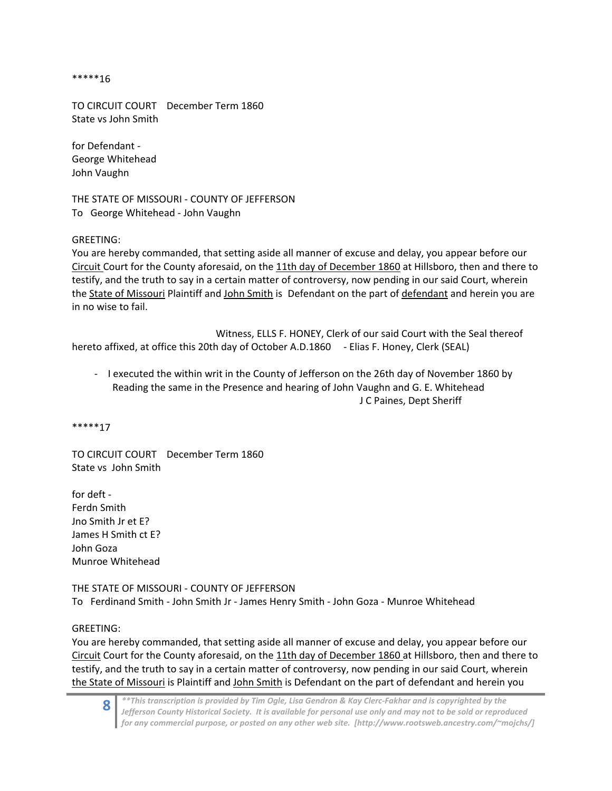\*\*\*\*\*16

TO CIRCUIT COURT December Term 1860 State vs John Smith

for Defendant ‐ George Whitehead John Vaughn

THE STATE OF MISSOURI ‐ COUNTY OF JEFFERSON To George Whitehead ‐ John Vaughn

GREETING:

You are hereby commanded, that setting aside all manner of excuse and delay, you appear before our Circuit Court for the County aforesaid, on the 11th day of December 1860 at Hillsboro, then and there to testify, and the truth to say in a certain matter of controversy, now pending in our said Court, wherein the State of Missouri Plaintiff and John Smith is Defendant on the part of defendant and herein you are in no wise to fail.

 Witness, ELLS F. HONEY, Clerk of our said Court with the Seal thereof hereto affixed, at office this 20th day of October A.D.1860 - Elias F. Honey, Clerk (SEAL)

‐ I executed the within writ in the County of Jefferson on the 26th day of November 1860 by Reading the same in the Presence and hearing of John Vaughn and G. E. Whitehead J C Paines, Dept Sheriff

\*\*\*\*\*17

TO CIRCUIT COURT December Term 1860 State vs John Smith

for deft ‐ Ferdn Smith Jno Smith Jr et E? James H Smith ct E? John Goza Munroe Whitehead

THE STATE OF MISSOURI ‐ COUNTY OF JEFFERSON To Ferdinand Smith ‐ John Smith Jr ‐ James Henry Smith ‐ John Goza ‐ Munroe Whitehead

GREETING:

You are hereby commanded, that setting aside all manner of excuse and delay, you appear before our Circuit Court for the County aforesaid, on the 11th day of December 1860 at Hillsboro, then and there to testify, and the truth to say in a certain matter of controversy, now pending in our said Court, wherein the State of Missouri is Plaintiff and John Smith is Defendant on the part of defendant and herein you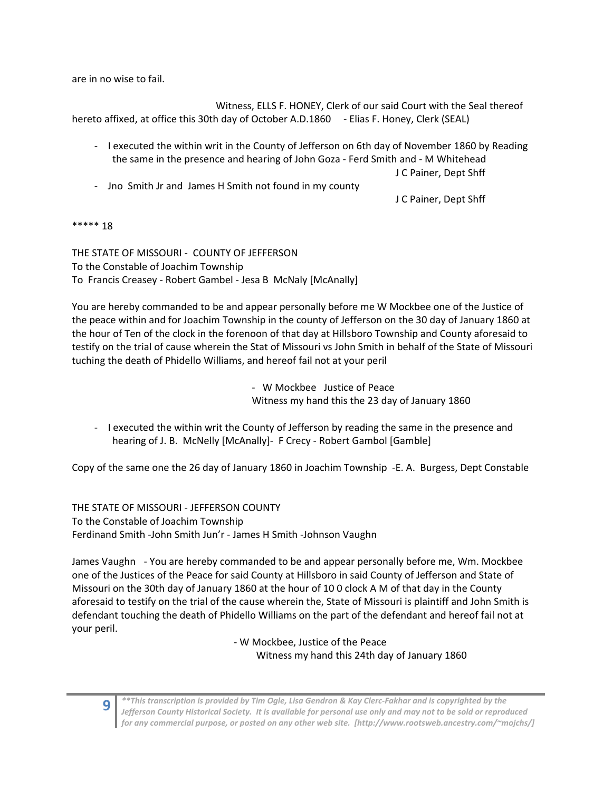are in no wise to fail.

 Witness, ELLS F. HONEY, Clerk of our said Court with the Seal thereof hereto affixed, at office this 30th day of October A.D.1860 - Elias F. Honey, Clerk (SEAL)

- ‐ I executed the within writ in the County of Jefferson on 6th day of November 1860 by Reading the same in the presence and hearing of John Goza ‐ Ferd Smith and ‐ M Whitehead J C Painer, Dept Shff
- ‐ Jno Smith Jr and James H Smith not found in my county

J C Painer, Dept Shff

#### \*\*\*\*\* 18

THE STATE OF MISSOURI ‐ COUNTY OF JEFFERSON To the Constable of Joachim Township To Francis Creasey ‐ Robert Gambel ‐ Jesa B McNaly [McAnally]

You are hereby commanded to be and appear personally before me W Mockbee one of the Justice of the peace within and for Joachim Township in the county of Jefferson on the 30 day of January 1860 at the hour of Ten of the clock in the forenoon of that day at Hillsboro Township and County aforesaid to testify on the trial of cause wherein the Stat of Missouri vs John Smith in behalf of the State of Missouri tuching the death of Phidello Williams, and hereof fail not at your peril

> ‐ W Mockbee Justice of Peace Witness my hand this the 23 day of January 1860

‐ I executed the within writ the County of Jefferson by reading the same in the presence and hearing of J. B. McNelly [McAnally] - F Crecy - Robert Gambol [Gamble]

Copy of the same one the 26 day of January 1860 in Joachim Township ‐E. A. Burgess, Dept Constable

THE STATE OF MISSOURI ‐ JEFFERSON COUNTY To the Constable of Joachim Township Ferdinand Smith ‐John Smith Jun'r ‐ James H Smith ‐Johnson Vaughn

James Vaughn ‐ You are hereby commanded to be and appear personally before me, Wm. Mockbee one of the Justices of the Peace for said County at Hillsboro in said County of Jefferson and State of Missouri on the 30th day of January 1860 at the hour of 10 0 clock A M of that day in the County aforesaid to testify on the trial of the cause wherein the, State of Missouri is plaintiff and John Smith is defendant touching the death of Phidello Williams on the part of the defendant and hereof fail not at your peril.

> ‐ W Mockbee, Justice of the Peace Witness my hand this 24th day of January 1860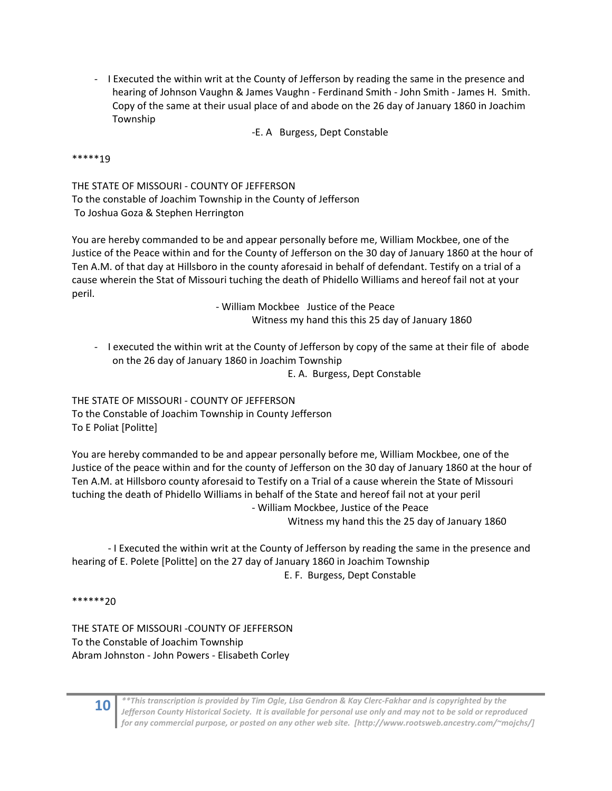‐ I Executed the within writ at the County of Jefferson by reading the same in the presence and hearing of Johnson Vaughn & James Vaughn ‐ Ferdinand Smith ‐ John Smith ‐ James H. Smith. Copy of the same at their usual place of and abode on the 26 day of January 1860 in Joachim Township

‐E. A Burgess, Dept Constable

#### \*\*\*\*\*19

THE STATE OF MISSOURI ‐ COUNTY OF JEFFERSON To the constable of Joachim Township in the County of Jefferson To Joshua Goza & Stephen Herrington

You are hereby commanded to be and appear personally before me, William Mockbee, one of the Justice of the Peace within and for the County of Jefferson on the 30 day of January 1860 at the hour of Ten A.M. of that day at Hillsboro in the county aforesaid in behalf of defendant. Testify on a trial of a cause wherein the Stat of Missouri tuching the death of Phidello Williams and hereof fail not at your peril.

> ‐ William Mockbee Justice of the Peace Witness my hand this this 25 day of January 1860

‐ I executed the within writ at the County of Jefferson by copy of the same at their file of abode on the 26 day of January 1860 in Joachim Township

E. A. Burgess, Dept Constable

THE STATE OF MISSOURI ‐ COUNTY OF JEFFERSON To the Constable of Joachim Township in County Jefferson To E Poliat [Politte]

You are hereby commanded to be and appear personally before me, William Mockbee, one of the Justice of the peace within and for the county of Jefferson on the 30 day of January 1860 at the hour of Ten A.M. at Hillsboro county aforesaid to Testify on a Trial of a cause wherein the State of Missouri tuching the death of Phidello Williams in behalf of the State and hereof fail not at your peril ‐ William Mockbee, Justice of the Peace

Witness my hand this the 25 day of January 1860

‐ I Executed the within writ at the County of Jefferson by reading the same in the presence and hearing of E. Polete [Politte] on the 27 day of January 1860 in Joachim Township E. F. Burgess, Dept Constable

\*\*\*\*\*\*20

THE STATE OF MISSOURI ‐COUNTY OF JEFFERSON To the Constable of Joachim Township Abram Johnston ‐ John Powers ‐ Elisabeth Corley

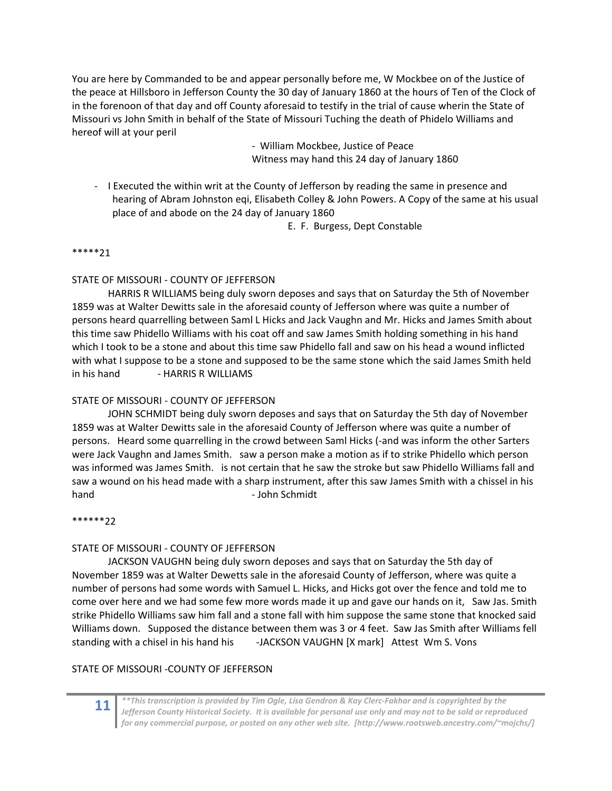You are here by Commanded to be and appear personally before me, W Mockbee on of the Justice of the peace at Hillsboro in Jefferson County the 30 day of January 1860 at the hours of Ten of the Clock of in the forenoon of that day and off County aforesaid to testify in the trial of cause wherin the State of Missouri vs John Smith in behalf of the State of Missouri Tuching the death of Phidelo Williams and hereof will at your peril

> ‐ William Mockbee, Justice of Peace Witness may hand this 24 day of January 1860

‐ I Executed the within writ at the County of Jefferson by reading the same in presence and hearing of Abram Johnston eqi, Elisabeth Colley & John Powers. A Copy of the same at his usual place of and abode on the 24 day of January 1860

E. F. Burgess, Dept Constable

#### \*\*\*\*\*21

## STATE OF MISSOURI ‐ COUNTY OF JEFFERSON

HARRIS R WILLIAMS being duly sworn deposes and says that on Saturday the 5th of November 1859 was at Walter Dewitts sale in the aforesaid county of Jefferson where was quite a number of persons heard quarrelling between Saml L Hicks and Jack Vaughn and Mr. Hicks and James Smith about this time saw Phidello Williams with his coat off and saw James Smith holding something in his hand which I took to be a stone and about this time saw Phidello fall and saw on his head a wound inflicted with what I suppose to be a stone and supposed to be the same stone which the said James Smith held in his hand ‐ HARRIS R WILLIAMS

## STATE OF MISSOURI ‐ COUNTY OF JEFFERSON

JOHN SCHMIDT being duly sworn deposes and says that on Saturday the 5th day of November 1859 was at Walter Dewitts sale in the aforesaid County of Jefferson where was quite a number of persons. Heard some quarrelling in the crowd between Saml Hicks (-and was inform the other Sarters were Jack Vaughn and James Smith. saw a person make a motion as if to strike Phidello which person was informed was James Smith. is not certain that he saw the stroke but saw Phidello Williams fall and saw a wound on his head made with a sharp instrument, after this saw James Smith with a chissel in his hand **blue compared to the compared of the set of the set of the set of the set of the set of the set of the set of the set of the set of the set of the set of the set of the set of the set of the set of the set of the set** 

#### \*\*\*\*\*\*22

## STATE OF MISSOURI ‐ COUNTY OF JEFFERSON

JACKSON VAUGHN being duly sworn deposes and says that on Saturday the 5th day of November 1859 was at Walter Dewetts sale in the aforesaid County of Jefferson, where was quite a number of persons had some words with Samuel L. Hicks, and Hicks got over the fence and told me to come over here and we had some few more words made it up and gave our hands on it, Saw Jas. Smith strike Phidello Williams saw him fall and a stone fall with him suppose the same stone that knocked said Williams down. Supposed the distance between them was 3 or 4 feet. Saw Jas Smith after Williams fell standing with a chisel in his hand his ‐JACKSON VAUGHN [X mark] Attest Wm S. Vons

## STATE OF MISSOURI ‐COUNTY OF JEFFERSON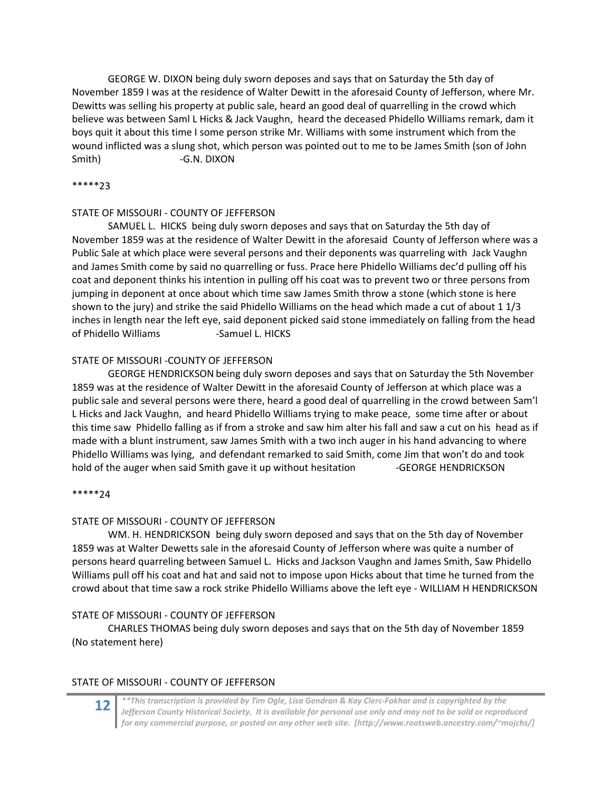GEORGE W. DIXON being duly sworn deposes and says that on Saturday the 5th day of November 1859 I was at the residence of Walter Dewitt in the aforesaid County of Jefferson, where Mr. Dewitts was selling his property at public sale, heard an good deal of quarrelling in the crowd which believe was between Saml L Hicks & Jack Vaughn, heard the deceased Phidello Williams remark, dam it boys quit it about this time I some person strike Mr. Williams with some instrument which from the wound inflicted was a slung shot, which person was pointed out to me to be James Smith (son of John Smith) ‐G.N. DIXON

#### \*\*\*\*\*23

#### STATE OF MISSOURI ‐ COUNTY OF JEFFERSON

SAMUEL L. HICKS being duly sworn deposes and says that on Saturday the 5th day of November 1859 was at the residence of Walter Dewitt in the aforesaid County of Jefferson where was a Public Sale at which place were several persons and their deponents was quarreling with Jack Vaughn and James Smith come by said no quarrelling or fuss. Prace here Phidello Williams dec'd pulling off his coat and deponent thinks his intention in pulling off his coat was to prevent two or three persons from jumping in deponent at once about which time saw James Smith throw a stone (which stone is here shown to the jury) and strike the said Phidello Williams on the head which made a cut of about 1 1/3 inches in length near the left eye, said deponent picked said stone immediately on falling from the head of Phidello Williams ‐Samuel L. HICKS

#### STATE OF MISSOURI ‐COUNTY OF JEFFERSON

GEORGE HENDRICKSON being duly sworn deposes and says that on Saturday the 5th November 1859 was at the residence of Walter Dewitt in the aforesaid County of Jefferson at which place was a public sale and several persons were there, heard a good deal of quarrelling in the crowd between Sam'l L Hicks and Jack Vaughn, and heard Phidello Williams trying to make peace, some time after or about this time saw Phidello falling as if from a stroke and saw him alter his fall and saw a cut on his head as if made with a blunt instrument, saw James Smith with a two inch auger in his hand advancing to where Phidello Williams was lying, and defendant remarked to said Smith, come Jim that won't do and took hold of the auger when said Smith gave it up without hesitation **SCORGE HENDRICKSON** 

#### \*\*\*\*\*24

#### STATE OF MISSOURI ‐ COUNTY OF JEFFERSON

 WM. H. HENDRICKSON being duly sworn deposed and says that on the 5th day of November 1859 was at Walter Dewetts sale in the aforesaid County of Jefferson where was quite a number of persons heard quarreling between Samuel L. Hicks and Jackson Vaughn and James Smith, Saw Phidello Williams pull off his coat and hat and said not to impose upon Hicks about that time he turned from the crowd about that time saw a rock strike Phidello Williams above the left eye ‐ WILLIAM H HENDRICKSON

## STATE OF MISSOURI ‐ COUNTY OF JEFFERSON

CHARLES THOMAS being duly sworn deposes and says that on the 5th day of November 1859 (No statement here)

## STATE OF MISSOURI ‐ COUNTY OF JEFFERSON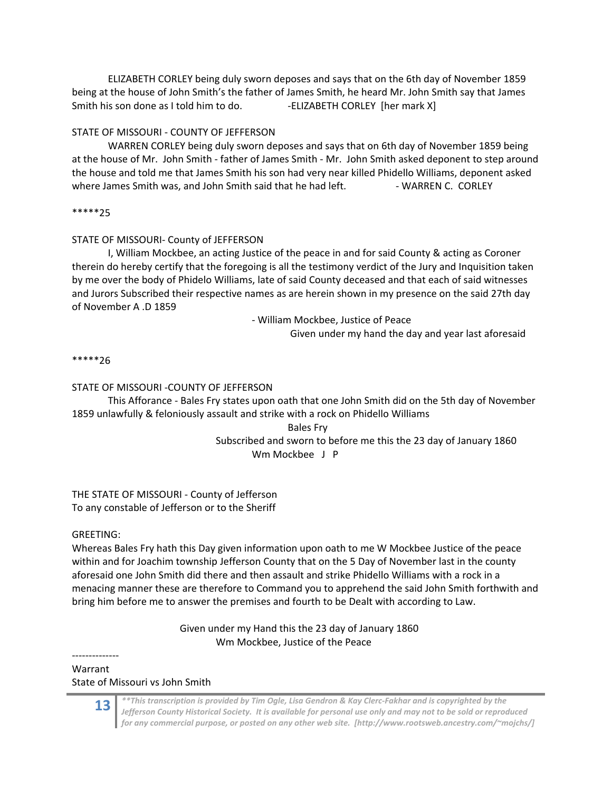ELIZABETH CORLEY being duly sworn deposes and says that on the 6th day of November 1859 being at the house of John Smith's the father of James Smith, he heard Mr. John Smith say that James Smith his son done as I told him to do. ‐ELIZABETH CORLEY [her mark X]

#### STATE OF MISSOURI ‐ COUNTY OF JEFFERSON

WARREN CORLEY being duly sworn deposes and says that on 6th day of November 1859 being at the house of Mr. John Smith ‐ father of James Smith ‐ Mr. John Smith asked deponent to step around the house and told me that James Smith his son had very near killed Phidello Williams, deponent asked where James Smith was, and John Smith said that he had left.  **-** WARREN C. CORLEY

#### \*\*\*\*\*25

#### STATE OF MISSOURI‐ County of JEFFERSON

I, William Mockbee, an acting Justice of the peace in and for said County & acting as Coroner therein do hereby certify that the foregoing is all the testimony verdict of the Jury and Inquisition taken by me over the body of Phidelo Williams, late of said County deceased and that each of said witnesses and Jurors Subscribed their respective names as are herein shown in my presence on the said 27th day of November A .D 1859

‐ William Mockbee, Justice of Peace

Given under my hand the day and year last aforesaid

\*\*\*\*\*26

#### STATE OF MISSOURI ‐COUNTY OF JEFFERSON

 This Afforance ‐ Bales Fry states upon oath that one John Smith did on the 5th day of November 1859 unlawfully & feloniously assault and strike with a rock on Phidello Williams

Bales Fry

## Subscribed and sworn to before me this the 23 day of January 1860 Wm Mockbee J P

THE STATE OF MISSOURI ‐ County of Jefferson To any constable of Jefferson or to the Sheriff

#### GREETING:

Whereas Bales Fry hath this Day given information upon oath to me W Mockbee Justice of the peace within and for Joachim township Jefferson County that on the 5 Day of November last in the county aforesaid one John Smith did there and then assault and strike Phidello Williams with a rock in a menacing manner these are therefore to Command you to apprehend the said John Smith forthwith and bring him before me to answer the premises and fourth to be Dealt with according to Law.

> Given under my Hand this the 23 day of January 1860 Wm Mockbee, Justice of the Peace

# Warrant State of Missouri vs John Smith

‐‐‐‐‐‐‐‐‐‐‐‐‐‐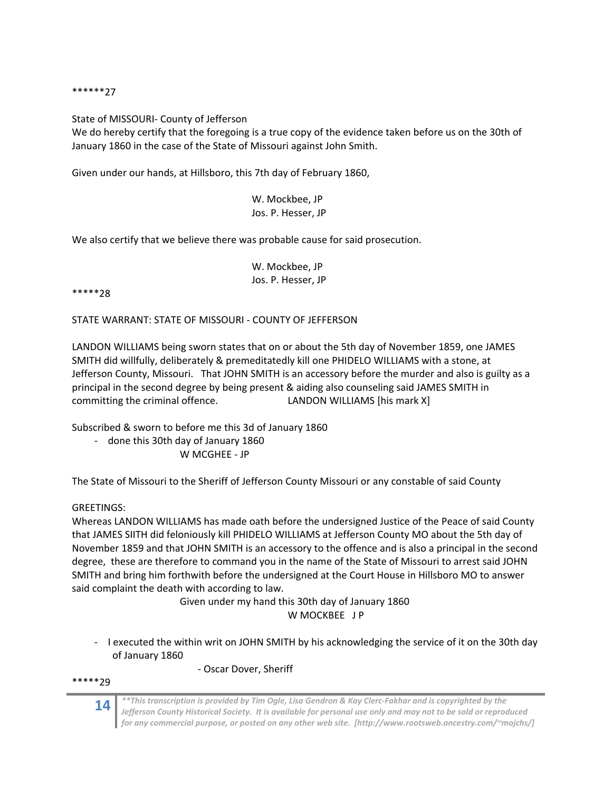\*\*\*\*\*\*27

State of MISSOURI‐ County of Jefferson

We do hereby certify that the foregoing is a true copy of the evidence taken before us on the 30th of January 1860 in the case of the State of Missouri against John Smith.

Given under our hands, at Hillsboro, this 7th day of February 1860,

## W. Mockbee, JP Jos. P. Hesser, JP

We also certify that we believe there was probable cause for said prosecution.

|  | W. Mockbee, JP     |  |
|--|--------------------|--|
|  | Jos. P. Hesser, JP |  |

\*\*\*\*\*28

STATE WARRANT: STATE OF MISSOURI ‐ COUNTY OF JEFFERSON

LANDON WILLIAMS being sworn states that on or about the 5th day of November 1859, one JAMES SMITH did willfully, deliberately & premeditatedly kill one PHIDELO WILLIAMS with a stone, at Jefferson County, Missouri. That JOHN SMITH is an accessory before the murder and also is guilty as a principal in the second degree by being present & aiding also counseling said JAMES SMITH in committing the criminal offence. 
LANDON WILLIAMS [his mark X]

Subscribed & sworn to before me this 3d of January 1860

‐ done this 30th day of January 1860

W MCGHEE ‐ JP

The State of Missouri to the Sheriff of Jefferson County Missouri or any constable of said County

## GREETINGS:

Whereas LANDON WILLIAMS has made oath before the undersigned Justice of the Peace of said County that JAMES SIITH did feloniously kill PHIDELO WILLIAMS at Jefferson County MO about the 5th day of November 1859 and that JOHN SMITH is an accessory to the offence and is also a principal in the second degree, these are therefore to command you in the name of the State of Missouri to arrest said JOHN SMITH and bring him forthwith before the undersigned at the Court House in Hillsboro MO to answer said complaint the death with according to law.

> Given under my hand this 30th day of January 1860 W MOCKBEE **JP**

‐ I executed the within writ on JOHN SMITH by his acknowledging the service of it on the 30th day of January 1860

‐ Oscar Dover, Sheriff

\*\*\*\*\*29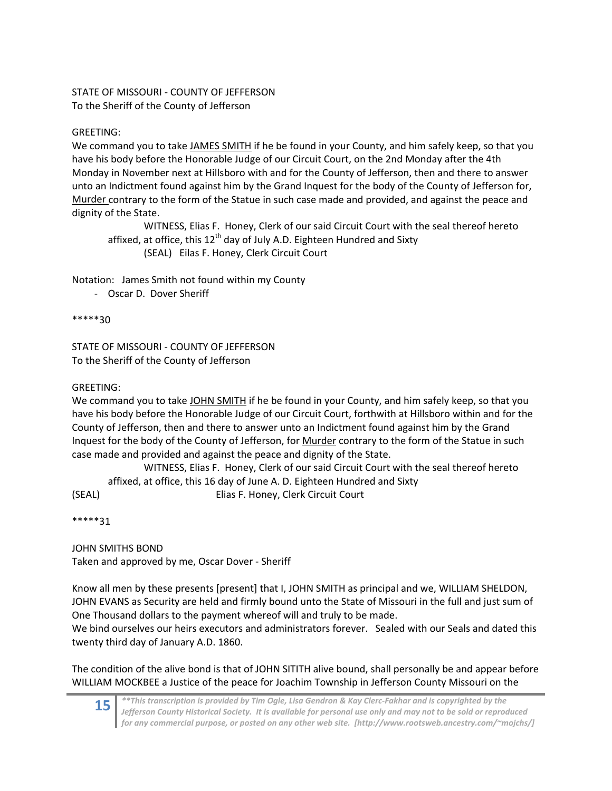## STATE OF MISSOURI ‐ COUNTY OF JEFFERSON To the Sheriff of the County of Jefferson

## GREETING:

We command you to take JAMES SMITH if he be found in your County, and him safely keep, so that you have his body before the Honorable Judge of our Circuit Court, on the 2nd Monday after the 4th Monday in November next at Hillsboro with and for the County of Jefferson, then and there to answer unto an Indictment found against him by the Grand Inquest for the body of the County of Jefferson for, Murder contrary to the form of the Statue in such case made and provided, and against the peace and dignity of the State.

WITNESS, Elias F. Honey, Clerk of our said Circuit Court with the seal thereof hereto affixed, at office, this  $12<sup>th</sup>$  day of July A.D. Eighteen Hundred and Sixty (SEAL) Eilas F. Honey, Clerk Circuit Court

Notation: James Smith not found within my County

‐ Oscar D. Dover Sheriff

\*\*\*\*\*30

STATE OF MISSOURI ‐ COUNTY OF JEFFERSON To the Sheriff of the County of Jefferson

## GREETING:

We command you to take JOHN SMITH if he be found in your County, and him safely keep, so that you have his body before the Honorable Judge of our Circuit Court, forthwith at Hillsboro within and for the County of Jefferson, then and there to answer unto an Indictment found against him by the Grand Inquest for the body of the County of Jefferson, for Murder contrary to the form of the Statue in such case made and provided and against the peace and dignity of the State.

WITNESS, Elias F. Honey, Clerk of our said Circuit Court with the seal thereof hereto affixed, at office, this 16 day of June A. D. Eighteen Hundred and Sixty (SEAL) Elias F. Honey, Clerk Circuit Court

\*\*\*\*\*31

JOHN SMITHS BOND Taken and approved by me, Oscar Dover ‐ Sheriff

Know all men by these presents [present] that I, JOHN SMITH as principal and we, WILLIAM SHELDON, JOHN EVANS as Security are held and firmly bound unto the State of Missouri in the full and just sum of One Thousand dollars to the payment whereof will and truly to be made.

We bind ourselves our heirs executors and administrators forever. Sealed with our Seals and dated this twenty third day of January A.D. 1860.

The condition of the alive bond is that of JOHN SITITH alive bound, shall personally be and appear before WILLIAM MOCKBEE a Justice of the peace for Joachim Township in Jefferson County Missouri on the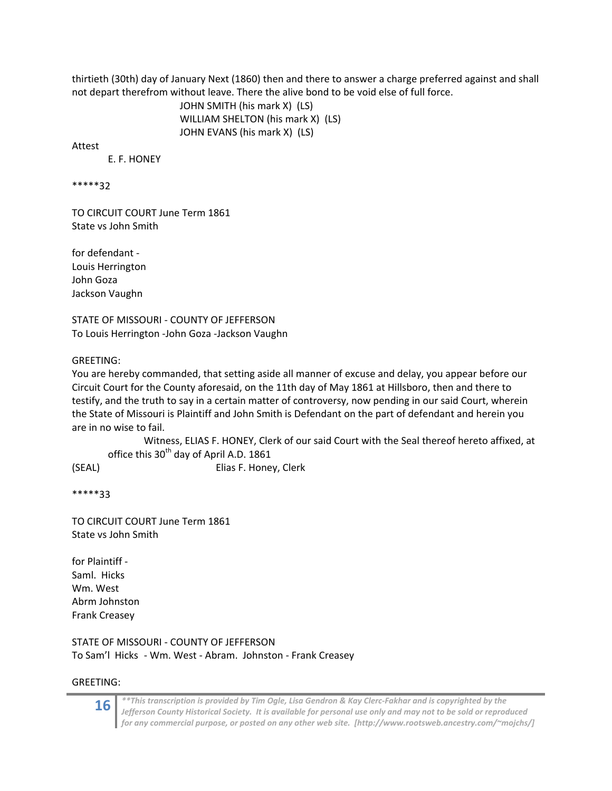thirtieth (30th) day of January Next (1860) then and there to answer a charge preferred against and shall not depart therefrom without leave. There the alive bond to be void else of full force.

> JOHN SMITH (his mark X) (LS) WILLIAM SHELTON (his mark X) (LS) JOHN EVANS (his mark X) (LS)

Attest

E. F. HONEY

\*\*\*\*\*32

TO CIRCUIT COURT June Term 1861 State vs John Smith

for defendant ‐ Louis Herrington John Goza Jackson Vaughn

STATE OF MISSOURI ‐ COUNTY OF JEFFERSON To Louis Herrington ‐John Goza ‐Jackson Vaughn

GREETING:

You are hereby commanded, that setting aside all manner of excuse and delay, you appear before our Circuit Court for the County aforesaid, on the 11th day of May 1861 at Hillsboro, then and there to testify, and the truth to say in a certain matter of controversy, now pending in our said Court, wherein the State of Missouri is Plaintiff and John Smith is Defendant on the part of defendant and herein you are in no wise to fail.

Witness, ELIAS F. HONEY, Clerk of our said Court with the Seal thereof hereto affixed, at office this  $30<sup>th</sup>$  day of April A.D. 1861

(SEAL) Elias F. Honey, Clerk

\*\*\*\*\*33

TO CIRCUIT COURT June Term 1861 State vs John Smith

for Plaintiff ‐ Saml. Hicks Wm. West Abrm Johnston Frank Creasey

STATE OF MISSOURI ‐ COUNTY OF JEFFERSON To Sam'l Hicks ‐ Wm. West ‐ Abram. Johnston ‐ Frank Creasey

GREETING: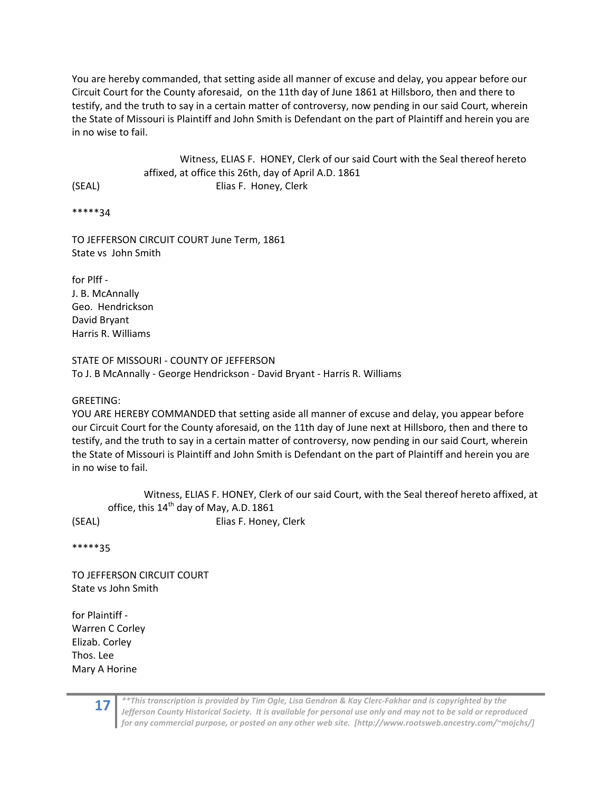You are hereby commanded, that setting aside all manner of excuse and delay, you appear before our Circuit Court for the County aforesaid, on the 11th day of June 1861 at Hillsboro, then and there to testify, and the truth to say in a certain matter of controversy, now pending in our said Court, wherein the State of Missouri is Plaintiff and John Smith is Defendant on the part of Plaintiff and herein you are in no wise to fail.

Witness, ELIAS F. HONEY, Clerk of our said Court with the Seal thereof hereto affixed, at office this 26th, day of April A.D. 1861 (SEAL) Elias F. Honey, Clerk

\*\*\*\*\*34

TO JEFFERSON CIRCUIT COURT June Term, 1861 State vs John Smith

for Plff ‐ J. B. McAnnally Geo. Hendrickson David Bryant Harris R. Williams

STATE OF MISSOURI ‐ COUNTY OF JEFFERSON To J. B McAnnally ‐ George Hendrickson ‐ David Bryant ‐ Harris R. Williams

GREETING:

YOU ARE HEREBY COMMANDED that setting aside all manner of excuse and delay, you appear before our Circuit Court for the County aforesaid, on the 11th day of June next at Hillsboro, then and there to testify, and the truth to say in a certain matter of controversy, now pending in our said Court, wherein the State of Missouri is Plaintiff and John Smith is Defendant on the part of Plaintiff and herein you are in no wise to fail.

Witness, ELIAS F. HONEY, Clerk of our said Court, with the Seal thereof hereto affixed, at office, this 14<sup>th</sup> day of May, A.D. 1861 (SEAL) Elias F. Honey, Clerk

\*\*\*\*\*35

TO JEFFERSON CIRCUIT COURT State vs John Smith

for Plaintiff ‐ Warren C Corley Elizab. Corley Thos. Lee Mary A Horine

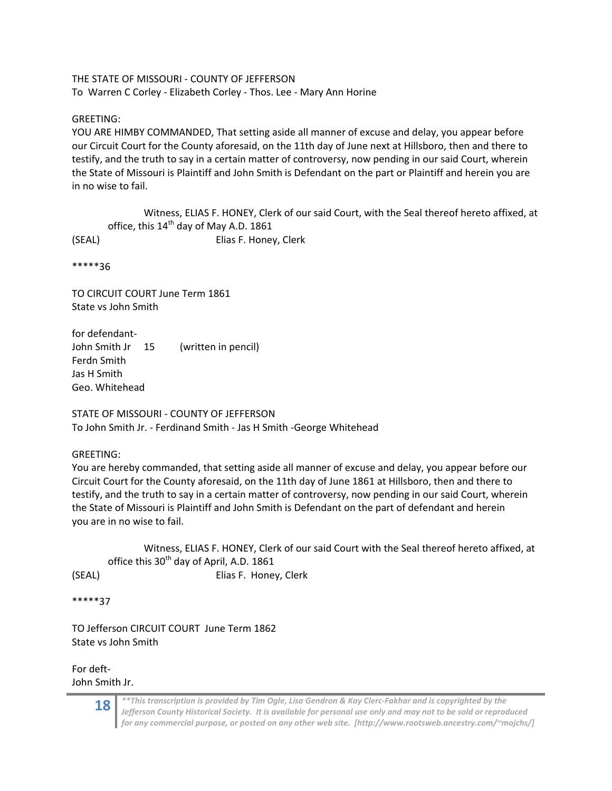THE STATE OF MISSOURI ‐ COUNTY OF JEFFERSON To Warren C Corley ‐ Elizabeth Corley ‐ Thos. Lee ‐ Mary Ann Horine

## GREETING:

YOU ARE HIMBY COMMANDED, That setting aside all manner of excuse and delay, you appear before our Circuit Court for the County aforesaid, on the 11th day of June next at Hillsboro, then and there to testify, and the truth to say in a certain matter of controversy, now pending in our said Court, wherein the State of Missouri is Plaintiff and John Smith is Defendant on the part or Plaintiff and herein you are in no wise to fail.

Witness, ELIAS F. HONEY, Clerk of our said Court, with the Seal thereof hereto affixed, at office, this  $14<sup>th</sup>$  day of May A.D. 1861 (SEAL) Elias F. Honey, Clerk

\*\*\*\*\*36

TO CIRCUIT COURT June Term 1861 State vs John Smith

for defendant‐ John Smith Jr 15 (written in pencil) Ferdn Smith Jas H Smith Geo. Whitehead

STATE OF MISSOURI ‐ COUNTY OF JEFFERSON To John Smith Jr. ‐ Ferdinand Smith ‐ Jas H Smith ‐George Whitehead

GREETING:

You are hereby commanded, that setting aside all manner of excuse and delay, you appear before our Circuit Court for the County aforesaid, on the 11th day of June 1861 at Hillsboro, then and there to testify, and the truth to say in a certain matter of controversy, now pending in our said Court, wherein the State of Missouri is Plaintiff and John Smith is Defendant on the part of defendant and herein you are in no wise to fail.

Witness, ELIAS F. HONEY, Clerk of our said Court with the Seal thereof hereto affixed, at office this  $30<sup>th</sup>$  day of April, A.D. 1861 (SEAL) Elias F. Honey, Clerk

\*\*\*\*\*37

TO Jefferson CIRCUIT COURT June Term 1862 State vs John Smith

For deft‐ John Smith Jr.

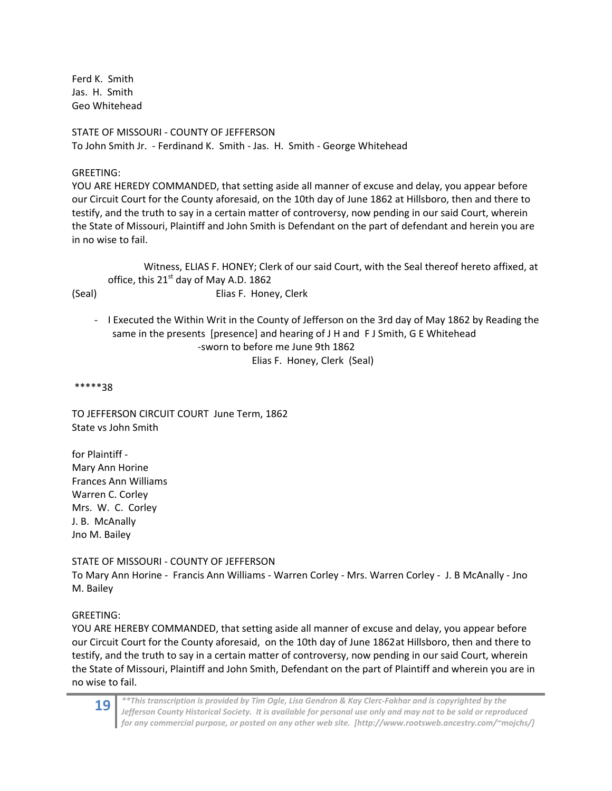Ferd K. Smith Jas. H. Smith Geo Whitehead

STATE OF MISSOURI ‐ COUNTY OF JEFFERSON To John Smith Jr. ‐ Ferdinand K. Smith ‐ Jas. H. Smith ‐ George Whitehead

#### GREETING:

YOU ARE HEREDY COMMANDED, that setting aside all manner of excuse and delay, you appear before our Circuit Court for the County aforesaid, on the 10th day of June 1862 at Hillsboro, then and there to testify, and the truth to say in a certain matter of controversy, now pending in our said Court, wherein the State of Missouri, Plaintiff and John Smith is Defendant on the part of defendant and herein you are in no wise to fail.

Witness, ELIAS F. HONEY; Clerk of our said Court, with the Seal thereof hereto affixed, at office, this  $21<sup>st</sup>$  day of May A.D. 1862 (Seal) Elias F. Honey, Clerk

‐ I Executed the Within Writ in the County of Jefferson on the 3rd day of May 1862 by Reading the same in the presents [presence] and hearing of J H and F J Smith, G E Whitehead ‐sworn to before me June 9th 1862 Elias F. Honey, Clerk (Seal)

\*\*\*\*\*38

TO JEFFERSON CIRCUIT COURT June Term, 1862 State vs John Smith

for Plaintiff ‐ Mary Ann Horine Frances Ann Williams Warren C. Corley Mrs. W. C. Corley J. B. McAnally Jno M. Bailey

STATE OF MISSOURI ‐ COUNTY OF JEFFERSON To Mary Ann Horine ‐ Francis Ann Williams ‐ Warren Corley ‐ Mrs. Warren Corley ‐ J. B McAnally ‐ Jno M. Bailey

#### GREETING:

YOU ARE HEREBY COMMANDED, that setting aside all manner of excuse and delay, you appear before our Circuit Court for the County aforesaid, on the 10th day of June 1862 at Hillsboro, then and there to testify, and the truth to say in a certain matter of controversy, now pending in our said Court, wherein the State of Missouri, Plaintiff and John Smith, Defendant on the part of Plaintiff and wherein you are in no wise to fail.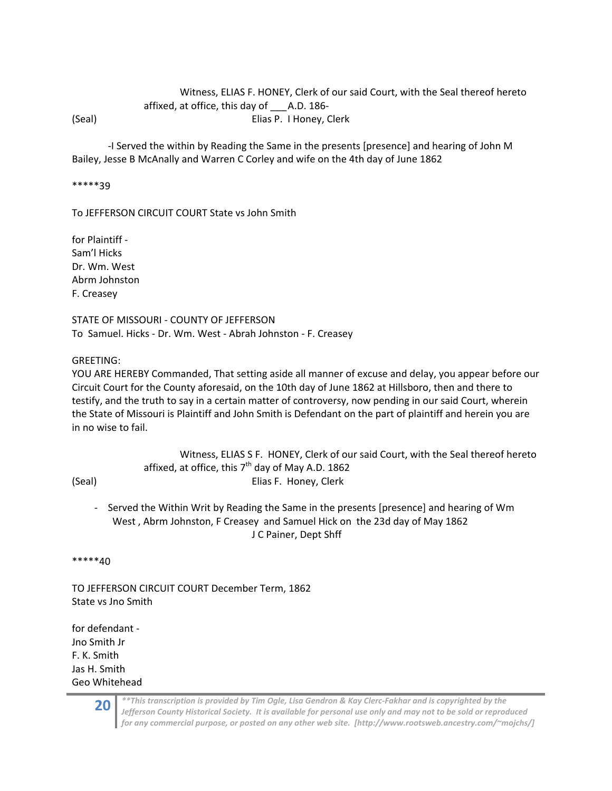## Witness, ELIAS F. HONEY, Clerk of our said Court, with the Seal thereof hereto affixed, at office, this day of \_\_\_ A.D. 186‐ (Seal) Elias P. I Honey, Clerk

 ‐I Served the within by Reading the Same in the presents [presence] and hearing of John M Bailey, Jesse B McAnally and Warren C Corley and wife on the 4th day of June 1862

\*\*\*\*\*39

To JEFFERSON CIRCUIT COURT State vs John Smith

for Plaintiff ‐ Sam'l Hicks Dr. Wm. West Abrm Johnston F. Creasey

STATE OF MISSOURI ‐ COUNTY OF JEFFERSON To Samuel. Hicks ‐ Dr. Wm. West ‐ Abrah Johnston ‐ F. Creasey

GREETING:

YOU ARE HEREBY Commanded, That setting aside all manner of excuse and delay, you appear before our Circuit Court for the County aforesaid, on the 10th day of June 1862 at Hillsboro, then and there to testify, and the truth to say in a certain matter of controversy, now pending in our said Court, wherein the State of Missouri is Plaintiff and John Smith is Defendant on the part of plaintiff and herein you are in no wise to fail.

|        | Witness, ELIAS S F. HONEY, Clerk of our said Court, with the Seal thereof hereto |
|--------|----------------------------------------------------------------------------------|
|        | affixed, at office, this $7th$ day of May A.D. 1862                              |
| (Seal) | Elias F. Honey, Clerk                                                            |

‐ Served the Within Writ by Reading the Same in the presents [presence] and hearing of Wm West , Abrm Johnston, F Creasey and Samuel Hick on the 23d day of May 1862 J C Painer, Dept Shff

\*\*\*\*\*40

TO JEFFERSON CIRCUIT COURT December Term, 1862 State vs Jno Smith

for defendant ‐ Jno Smith Jr F. K. Smith Jas H. Smith Geo Whitehead

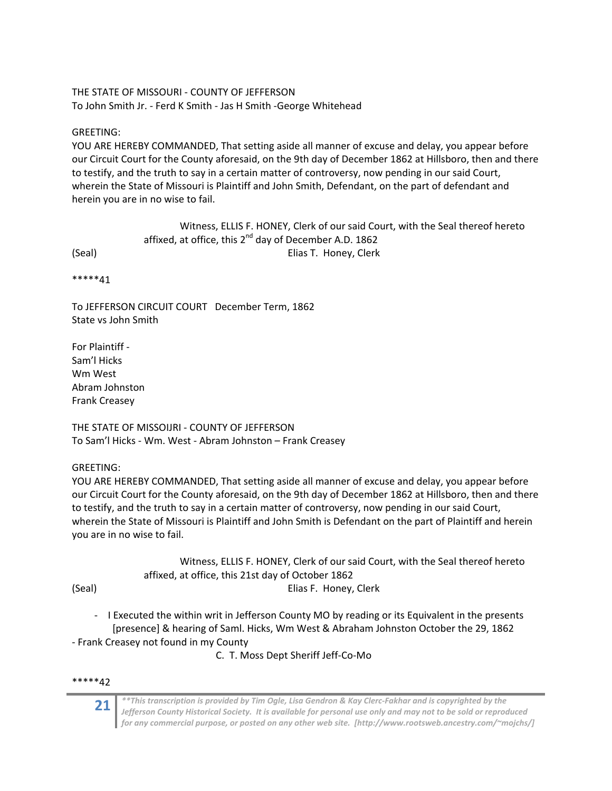## THE STATE OF MISSOURI ‐ COUNTY OF JEFFERSON To John Smith Jr. ‐ Ferd K Smith ‐ Jas H Smith ‐George Whitehead

## GREETING:

YOU ARE HEREBY COMMANDED, That setting aside all manner of excuse and delay, you appear before our Circuit Court for the County aforesaid, on the 9th day of December 1862 at Hillsboro, then and there to testify, and the truth to say in a certain matter of controversy, now pending in our said Court, wherein the State of Missouri is Plaintiff and John Smith, Defendant, on the part of defendant and herein you are in no wise to fail.

Witness, ELLIS F. HONEY, Clerk of our said Court, with the Seal thereof hereto affixed, at office, this  $2^{nd}$  day of December A.D. 1862 (Seal) Elias T. Honey, Clerk

\*\*\*\*\*41

To JEFFERSON CIRCUIT COURT December Term, 1862 State vs John Smith

For Plaintiff ‐ Sam'l Hicks Wm West Abram Johnston Frank Creasey

THE STATE OF MISSOIJRI ‐ COUNTY OF JEFFERSON To Sam'l Hicks ‐ Wm. West ‐ Abram Johnston – Frank Creasey

GREETING:

YOU ARE HEREBY COMMANDED, That setting aside all manner of excuse and delay, you appear before our Circuit Court for the County aforesaid, on the 9th day of December 1862 at Hillsboro, then and there to testify, and the truth to say in a certain matter of controversy, now pending in our said Court, wherein the State of Missouri is Plaintiff and John Smith is Defendant on the part of Plaintiff and herein you are in no wise to fail.

Witness, ELLIS F. HONEY, Clerk of our said Court, with the Seal thereof hereto affixed, at office, this 21st day of October 1862 (Seal) Elias F. Honey, Clerk

- ‐ I Executed the within writ in Jefferson County MO by reading or its Equivalent in the presents [presence] & hearing of Saml. Hicks, Wm West & Abraham Johnston October the 29, 1862
- ‐ Frank Creasey not found in my County

C. T. Moss Dept Sheriff Jeff‐Co‐Mo

## \*\*\*\*\*42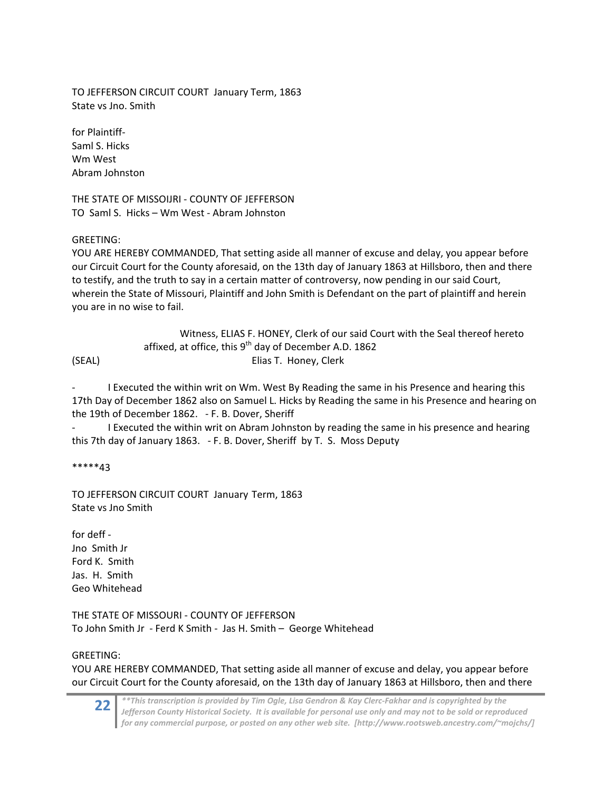TO JEFFERSON CIRCUIT COURT January Term, 1863 State vs Jno. Smith

for Plaintiff‐ Saml S. Hicks Wm West Abram Johnston

THE STATE OF MISSOIJRI ‐ COUNTY OF JEFFERSON TO Saml S. Hicks – Wm West ‐ Abram Johnston

## GREETING:

YOU ARE HEREBY COMMANDED, That setting aside all manner of excuse and delay, you appear before our Circuit Court for the County aforesaid, on the 13th day of January 1863 at Hillsboro, then and there to testify, and the truth to say in a certain matter of controversy, now pending in our said Court, wherein the State of Missouri, Plaintiff and John Smith is Defendant on the part of plaintiff and herein you are in no wise to fail.

|        | Witness, ELIAS F. HONEY, Clerk of our said Court with the Seal thereof hereto |
|--------|-------------------------------------------------------------------------------|
|        | affixed, at office, this $9th$ day of December A.D. 1862                      |
| (SEAL) | Elias T. Honey. Clerk                                                         |

‐ I Executed the within writ on Wm. West By Reading the same in his Presence and hearing this 17th Day of December 1862 also on Samuel L. Hicks by Reading the same in his Presence and hearing on the 19th of December 1862. - F. B. Dover, Sheriff

‐ I Executed the within writ on Abram Johnston by reading the same in his presence and hearing this 7th day of January 1863. ‐ F. B. Dover, Sheriff by T. S. Moss Deputy

\*\*\*\*\*43

TO JEFFERSON CIRCUIT COURT January Term, 1863 State vs Jno Smith

for deff ‐ Jno Smith Jr Ford K. Smith Jas. H. Smith Geo Whitehead

THE STATE OF MISSOURI ‐ COUNTY OF JEFFERSON To John Smith Jr ‐ Ferd K Smith ‐ Jas H. Smith – George Whitehead

## GREETING:

YOU ARE HEREBY COMMANDED, That setting aside all manner of excuse and delay, you appear before our Circuit Court for the County aforesaid, on the 13th day of January 1863 at Hillsboro, then and there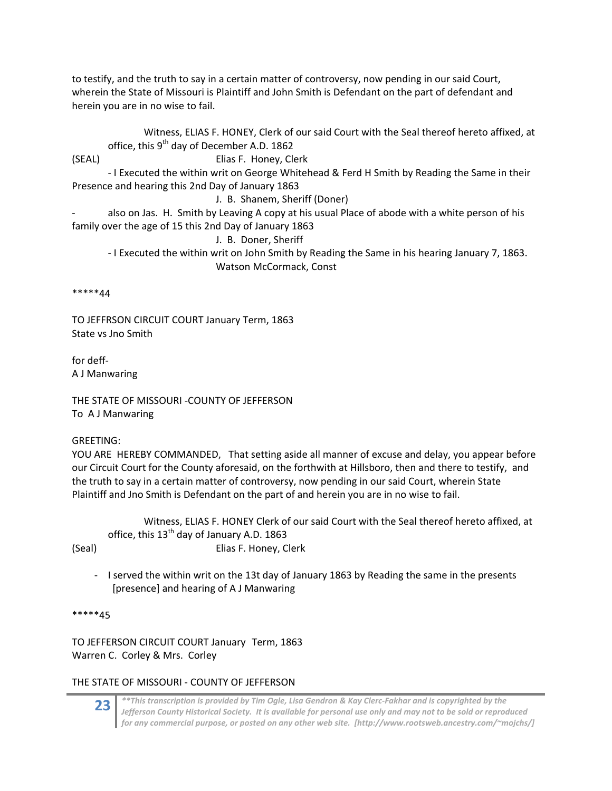to testify, and the truth to say in a certain matter of controversy, now pending in our said Court, wherein the State of Missouri is Plaintiff and John Smith is Defendant on the part of defendant and herein you are in no wise to fail.

Witness, ELIAS F. HONEY, Clerk of our said Court with the Seal thereof hereto affixed, at office, this  $9<sup>th</sup>$  day of December A.D. 1862 (SEAL) Elias F. Honey, Clerk ‐ I Executed the within writ on George Whitehead & Ferd H Smith by Reading the Same in their Presence and hearing this 2nd Day of January 1863 J. B. Shanem, Sheriff (Doner) also on Jas. H. Smith by Leaving A copy at his usual Place of abode with a white person of his family over the age of 15 this 2nd Day of January 1863 J. B. Doner, Sheriff ‐ I Executed the within writ on John Smith by Reading the Same in his hearing January 7, 1863. Watson McCormack, Const

\*\*\*\*\*44

TO JEFFRSON CIRCUIT COURT January Term, 1863 State vs Jno Smith

for deff‐ A J Manwaring

THE STATE OF MISSOURI ‐COUNTY OF JEFFERSON To A J Manwaring

GREETING:

YOU ARE HEREBY COMMANDED, That setting aside all manner of excuse and delay, you appear before our Circuit Court for the County aforesaid, on the forthwith at Hillsboro, then and there to testify, and the truth to say in a certain matter of controversy, now pending in our said Court, wherein State Plaintiff and Jno Smith is Defendant on the part of and herein you are in no wise to fail.

Witness, ELIAS F. HONEY Clerk of our said Court with the Seal thereof hereto affixed, at office, this  $13<sup>th</sup>$  day of January A.D. 1863 (Seal) Elias F. Honey, Clerk

‐ I served the within writ on the 13t day of January 1863 by Reading the same in the presents [presence] and hearing of A J Manwaring

\*\*\*\*\*45

TO JEFFERSON CIRCUIT COURT January Term, 1863 Warren C. Corley & Mrs. Corley

## THE STATE OF MISSOURI ‐ COUNTY OF JEFFERSON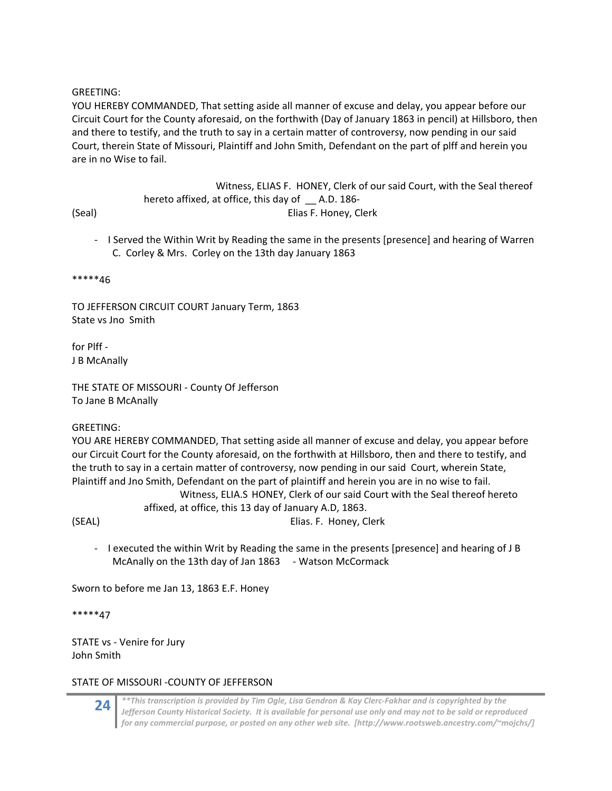#### GREETING:

YOU HEREBY COMMANDED, That setting aside all manner of excuse and delay, you appear before our Circuit Court for the County aforesaid, on the forthwith (Day of January 1863 in pencil) at Hillsboro, then and there to testify, and the truth to say in a certain matter of controversy, now pending in our said Court, therein State of Missouri, Plaintiff and John Smith, Defendant on the part of plff and herein you are in no Wise to fail.

 Witness, ELIAS F. HONEY, Clerk of our said Court, with the Seal thereof hereto affixed, at office, this day of \_ A.D. 186-(Seal) Elias F. Honey, Clerk

‐ I Served the Within Writ by Reading the same in the presents [presence] and hearing of Warren C. Corley & Mrs. Corley on the 13th day January 1863

\*\*\*\*\*46

TO JEFFERSON CIRCUIT COURT January Term, 1863 State vs Jno Smith

for Plff ‐ J B McAnally

THE STATE OF MISSOURI ‐ County Of Jefferson To Jane B McAnally

#### GREETING:

YOU ARE HEREBY COMMANDED, That setting aside all manner of excuse and delay, you appear before our Circuit Court for the County aforesaid, on the forthwith at Hillsboro, then and there to testify, and the truth to say in a certain matter of controversy, now pending in our said Court, wherein State, Plaintiff and Jno Smith, Defendant on the part of plaintiff and herein you are in no wise to fail. Witness, ELIA.S HONEY, Clerk of our said Court with the Seal thereof hereto affixed, at office, this 13 day of January A.D, 1863. (SEAL) Elias. F. Honey, Clerk

‐ I executed the within Writ by Reading the same in the presents [presence] and hearing of J B McAnally on the 13th day of Jan 1863 - Watson McCormack

Sworn to before me Jan 13, 1863 E.F. Honey

\*\*\*\*\*47

STATE vs ‐ Venire for Jury John Smith

## STATE OF MISSOURI ‐COUNTY OF JEFFERSON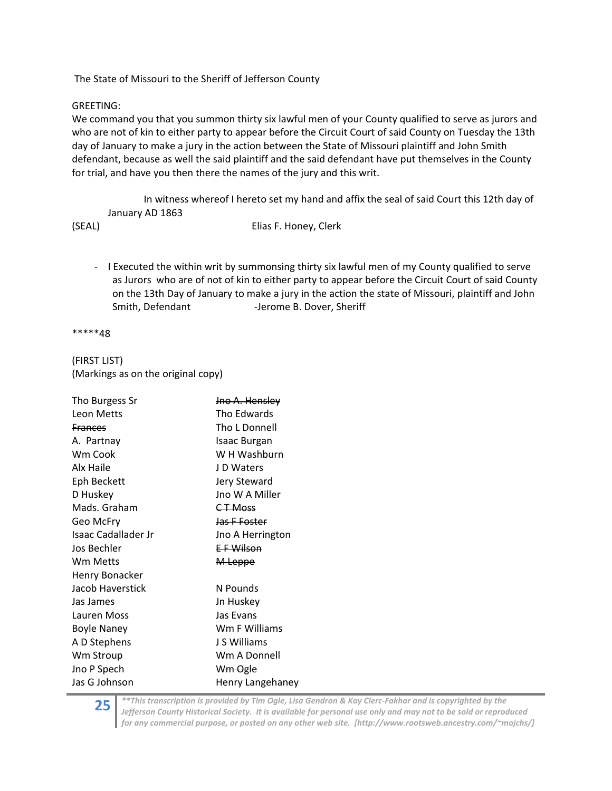The State of Missouri to the Sheriff of Jefferson County

#### GREETING:

We command you that you summon thirty six lawful men of your County qualified to serve as jurors and who are not of kin to either party to appear before the Circuit Court of said County on Tuesday the 13th day of January to make a jury in the action between the State of Missouri plaintiff and John Smith defendant, because as well the said plaintiff and the said defendant have put themselves in the County for trial, and have you then there the names of the jury and this writ.

In witness whereof I hereto set my hand and affix the seal of said Court this 12th day of January AD 1863

#### (SEAL) Elias F. Honey, Clerk

‐ I Executed the within writ by summonsing thirty six lawful men of my County qualified to serve as Jurors who are of not of kin to either party to appear before the Circuit Court of said County on the 13th Day of January to make a jury in the action the state of Missouri, plaintiff and John Smith, Defendant ‐Jerome B. Dover, Sheriff

\*\*\*\*\*48

## (FIRST LIST) (Markings as on the original copy)

| Tho Burgess Sr             | Jno A. Hensley       |  |  |
|----------------------------|----------------------|--|--|
| Leon Metts                 | Tho Edwards          |  |  |
| <b>Frances</b>             | Tho L Donnell        |  |  |
| A. Partnay                 | Isaac Burgan         |  |  |
| Wm Cook                    | W H Washburn         |  |  |
| Alx Haile                  | J D Waters           |  |  |
| Eph Beckett                | Jery Steward         |  |  |
| D Huskey                   | Jno W A Miller       |  |  |
| Mads. Graham               | <del>CT Moss</del>   |  |  |
| Geo McFry                  | Jas F Foster         |  |  |
| <b>Isaac Cadallader Jr</b> | Jno A Herrington     |  |  |
| Jos Bechler                | E F Wilson           |  |  |
| Wm Metts                   | M Leppe              |  |  |
| Henry Bonacker             |                      |  |  |
| Jacob Haverstick           | N Pounds             |  |  |
| Jas James                  | <del>Jn Huskey</del> |  |  |
| Lauren Moss                | Jas Evans            |  |  |
| <b>Boyle Naney</b>         | Wm F Williams        |  |  |
| A D Stephens               | J S Williams         |  |  |
| Wm Stroup                  | Wm A Donnell         |  |  |
| Jno P Spech                | Wm Ogle              |  |  |
| Jas G Johnson              | Henry Langehaney     |  |  |

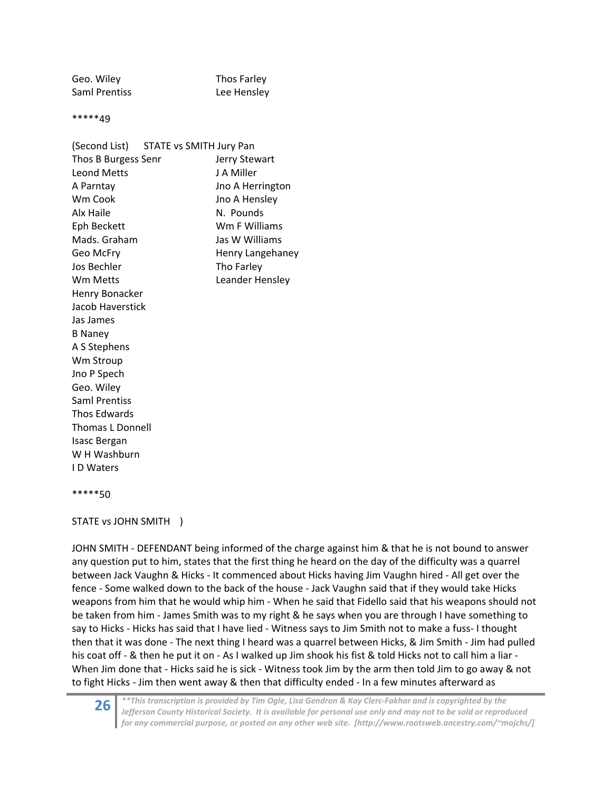Geo. Wiley **Thos Farley** Saml Prentiss **Lee Hensley** 

\*\*\*\*\*49

| (Second List) STATE vs SMITH Jury Pan |                  |
|---------------------------------------|------------------|
| Thos B Burgess Senr                   | Jerry Stewart    |
| <b>Leond Metts</b>                    | J A Miller       |
| A Parntay                             | Jno A Herrington |
| Wm Cook                               | Jno A Hensley    |
| Alx Haile                             | N. Pounds        |
| Eph Beckett                           | Wm F Williams    |
| Mads. Graham                          | Jas W Williams   |
| Geo McFry                             | Henry Langehaney |
| Jos Bechler                           | Tho Farley       |
| <b>Wm Metts</b>                       | Leander Hensley  |
| Henry Bonacker                        |                  |
| Jacob Haverstick                      |                  |
| Jas James                             |                  |
| <b>B Naney</b>                        |                  |
| A S Stephens                          |                  |
| Wm Stroup                             |                  |
| Jno P Spech                           |                  |
| Geo. Wiley                            |                  |
| <b>Saml Prentiss</b>                  |                  |
| Thos Edwards                          |                  |
| <b>Thomas L Donnell</b>               |                  |
| <b>Isasc Bergan</b>                   |                  |
| W H Washburn                          |                  |
| <b>ID</b> Waters                      |                  |
|                                       |                  |

#### \*\*\*\*\*50

#### STATE vs JOHN SMITH )

JOHN SMITH ‐ DEFENDANT being informed of the charge against him & that he is not bound to answer any question put to him, states that the first thing he heard on the day of the difficulty was a quarrel between Jack Vaughn & Hicks ‐ It commenced about Hicks having Jim Vaughn hired ‐ All get over the fence ‐ Some walked down to the back of the house ‐ Jack Vaughn said that if they would take Hicks weapons from him that he would whip him - When he said that Fidello said that his weapons should not be taken from him ‐ James Smith was to my right & he says when you are through I have something to say to Hicks - Hicks has said that I have lied - Witness says to Jim Smith not to make a fuss- I thought then that it was done ‐ The next thing I heard was a quarrel between Hicks, & Jim Smith ‐ Jim had pulled his coat off - & then he put it on - As I walked up Jim shook his fist & told Hicks not to call him a liar -When Jim done that - Hicks said he is sick - Witness took Jim by the arm then told Jim to go away & not to fight Hicks ‐ Jim then went away & then that difficulty ended ‐ In a few minutes afterward as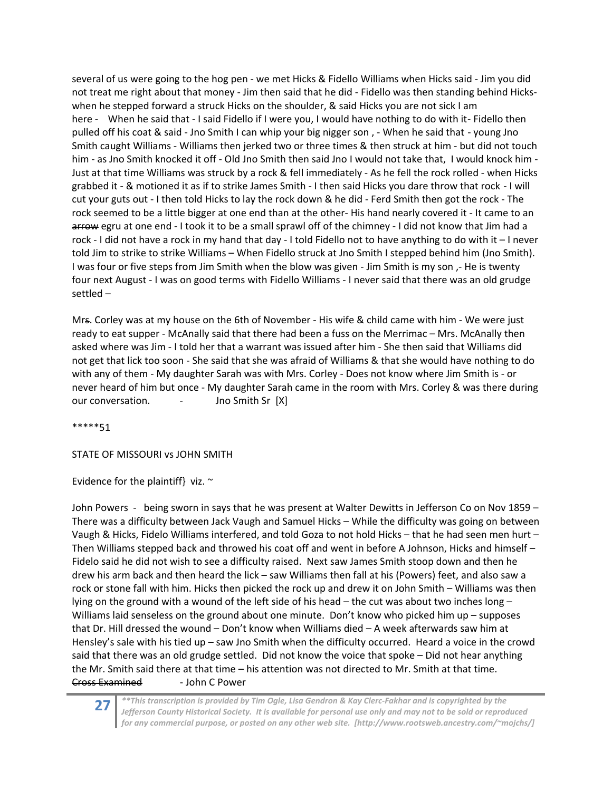several of us were going to the hog pen ‐ we met Hicks & Fidello Williams when Hicks said ‐ Jim you did not treat me right about that money - Jim then said that he did - Fidello was then standing behind Hickswhen he stepped forward a struck Hicks on the shoulder, & said Hicks you are not sick I am here - When he said that - I said Fidello if I were you, I would have nothing to do with it-Fidello then pulled off his coat & said ‐ Jno Smith I can whip your big nigger son , ‐ When he said that ‐ young Jno Smith caught Williams ‐ Williams then jerked two or three times & then struck at him ‐ but did not touch him - as Jno Smith knocked it off - Old Jno Smith then said Jno I would not take that, I would knock him -Just at that time Williams was struck by a rock & fell immediately ‐ As he fell the rock rolled ‐ when Hicks grabbed it ‐ & motioned it as if to strike James Smith ‐ I then said Hicks you dare throw that rock ‐ I will cut your guts out ‐ I then told Hicks to lay the rock down & he did ‐ Ferd Smith then got the rock ‐ The rock seemed to be a little bigger at one end than at the other‐ His hand nearly covered it ‐ It came to an arrow egru at one end - I took it to be a small sprawl off of the chimney - I did not know that Jim had a rock ‐ I did not have a rock in my hand that day ‐ I told Fidello not to have anything to do with it – I never told Jim to strike to strike Williams – When Fidello struck at Jno Smith I stepped behind him (Jno Smith). I was four or five steps from Jim Smith when the blow was given ‐ Jim Smith is my son ,‐ He is twenty four next August ‐ I was on good terms with Fidello Williams ‐ I never said that there was an old grudge settled –

Mrs. Corley was at my house on the 6th of November ‐ His wife & child came with him ‐ We were just ready to eat supper - McAnally said that there had been a fuss on the Merrimac – Mrs. McAnally then asked where was Jim ‐ I told her that a warrant was issued after him ‐ She then said that Williams did not get that lick too soon ‐ She said that she was afraid of Williams & that she would have nothing to do with any of them - My daughter Sarah was with Mrs. Corley - Does not know where Jim Smith is - or never heard of him but once - My daughter Sarah came in the room with Mrs. Corley & was there during our conversation. ‐ Jno Smith Sr [X]

\*\*\*\*\*51

STATE OF MISSOURI vs JOHN SMITH

Evidence for the plaintiff} viz.  $\sim$ 

John Powers ‐ being sworn in says that he was present at Walter Dewitts in Jefferson Co on Nov 1859 – There was a difficulty between Jack Vaugh and Samuel Hicks – While the difficulty was going on between Vaugh & Hicks, Fidelo Williams interfered, and told Goza to not hold Hicks – that he had seen men hurt – Then Williams stepped back and throwed his coat off and went in before A Johnson, Hicks and himself – Fidelo said he did not wish to see a difficulty raised. Next saw James Smith stoop down and then he drew his arm back and then heard the lick – saw Williams then fall at his (Powers) feet, and also saw a rock or stone fall with him. Hicks then picked the rock up and drew it on John Smith – Williams was then lying on the ground with a wound of the left side of his head – the cut was about two inches long – Williams laid senseless on the ground about one minute. Don't know who picked him up – supposes that Dr. Hill dressed the wound – Don't know when Williams died – A week afterwards saw him at Hensley's sale with his tied up – saw Jno Smith when the difficulty occurred. Heard a voice in the crowd said that there was an old grudge settled. Did not know the voice that spoke – Did not hear anything the Mr. Smith said there at that time – his attention was not directed to Mr. Smith at that time. Cross Examined ‐ John C Power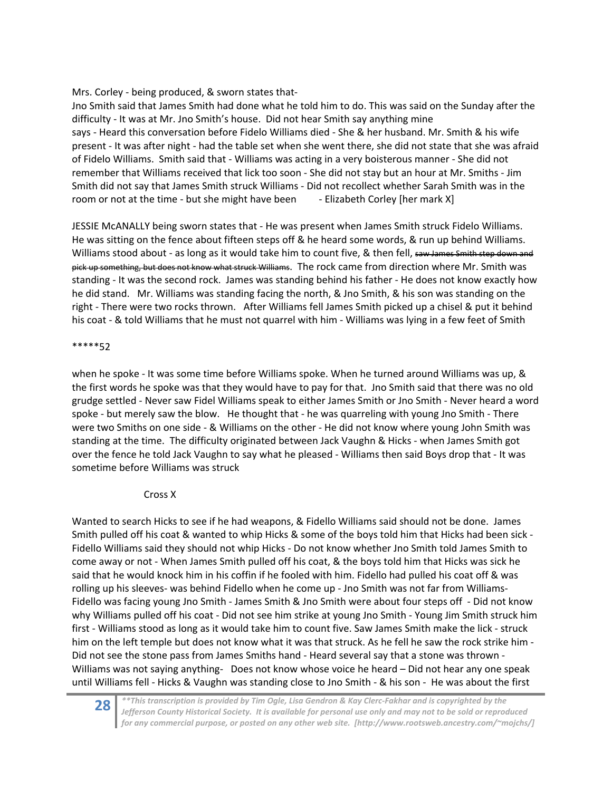Mrs. Corley - being produced, & sworn states that-

Jno Smith said that James Smith had done what he told him to do. This was said on the Sunday after the difficulty ‐ It was at Mr. Jno Smith's house. Did not hear Smith say anything mine says - Heard this conversation before Fidelo Williams died - She & her husband. Mr. Smith & his wife present ‐ It was after night ‐ had the table set when she went there, she did not state that she was afraid of Fidelo Williams. Smith said that ‐ Williams was acting in a very boisterous manner ‐ She did not remember that Williams received that lick too soon ‐ She did not stay but an hour at Mr. Smiths ‐ Jim Smith did not say that James Smith struck Williams ‐ Did not recollect whether Sarah Smith was in the room or not at the time - but she might have been - Elizabeth Corley [her mark X]

JESSIE McANALLY being sworn states that ‐ He was present when James Smith struck Fidelo Williams. He was sitting on the fence about fifteen steps off & he heard some words, & run up behind Williams. Williams stood about - as long as it would take him to count five, & then fell, saw James Smith step down and pick up something, but does not know what struck Williams. The rock came from direction where Mr. Smith was standing ‐ It was the second rock. James was standing behind his father ‐ He does not know exactly how he did stand. Mr. Williams was standing facing the north, & Jno Smith, & his son was standing on the right ‐ There were two rocks thrown. After Williams fell James Smith picked up a chisel & put it behind his coat - & told Williams that he must not quarrel with him - Williams was lying in a few feet of Smith

## \*\*\*\*\*52

when he spoke - It was some time before Williams spoke. When he turned around Williams was up, & the first words he spoke was that they would have to pay for that. Jno Smith said that there was no old grudge settled ‐ Never saw Fidel Williams speak to either James Smith or Jno Smith ‐ Never heard a word spoke - but merely saw the blow. He thought that - he was quarreling with young Jno Smith - There were two Smiths on one side - & Williams on the other - He did not know where young John Smith was standing at the time. The difficulty originated between Jack Vaughn & Hicks ‐ when James Smith got over the fence he told Jack Vaughn to say what he pleased ‐ Williams then said Boys drop that ‐ It was sometime before Williams was struck

## Cross X

Wanted to search Hicks to see if he had weapons, & Fidello Williams said should not be done. James Smith pulled off his coat & wanted to whip Hicks & some of the boys told him that Hicks had been sick ‐ Fidello Williams said they should not whip Hicks ‐ Do not know whether Jno Smith told James Smith to come away or not ‐ When James Smith pulled off his coat, & the boys told him that Hicks was sick he said that he would knock him in his coffin if he fooled with him. Fidello had pulled his coat off & was rolling up his sleeves‐ was behind Fidello when he come up ‐ Jno Smith was not far from Williams‐ Fidello was facing young Jno Smith ‐ James Smith & Jno Smith were about four steps off ‐ Did not know why Williams pulled off his coat - Did not see him strike at young Jno Smith - Young Jim Smith struck him first ‐ Williams stood as long as it would take him to count five. Saw James Smith make the lick ‐ struck him on the left temple but does not know what it was that struck. As he fell he saw the rock strike him -Did not see the stone pass from James Smiths hand ‐ Heard several say that a stone was thrown ‐ Williams was not saying anything- Does not know whose voice he heard – Did not hear any one speak until Williams fell ‐ Hicks & Vaughn was standing close to Jno Smith ‐ & his son ‐ He was about the first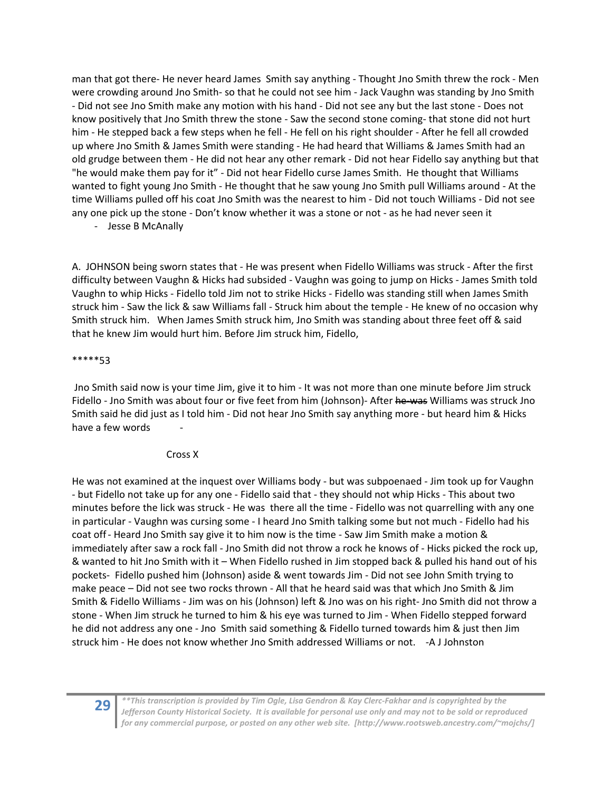man that got there‐ He never heard James Smith say anything ‐ Thought Jno Smith threw the rock ‐ Men were crowding around Jno Smith- so that he could not see him - Jack Vaughn was standing by Jno Smith ‐ Did not see Jno Smith make any motion with his hand ‐ Did not see any but the last stone ‐ Does not know positively that Jno Smith threw the stone - Saw the second stone coming-that stone did not hurt him - He stepped back a few steps when he fell - He fell on his right shoulder - After he fell all crowded up where Jno Smith & James Smith were standing ‐ He had heard that Williams & James Smith had an old grudge between them ‐ He did not hear any other remark ‐ Did not hear Fidello say anything but that "he would make them pay for it" ‐ Did not hear Fidello curse James Smith. He thought that Williams wanted to fight young Jno Smith - He thought that he saw young Jno Smith pull Williams around - At the time Williams pulled off his coat Jno Smith was the nearest to him ‐ Did not touch Williams ‐ Did not see any one pick up the stone ‐ Don't know whether it was a stone or not ‐ as he had never seen it

‐ Jesse B McAnally

A. JOHNSON being sworn states that ‐ He was present when Fidello Williams was struck ‐ After the first difficulty between Vaughn & Hicks had subsided ‐ Vaughn was going to jump on Hicks ‐ James Smith told Vaughn to whip Hicks ‐ Fidello told Jim not to strike Hicks ‐ Fidello was standing still when James Smith struck him ‐ Saw the lick & saw Williams fall ‐ Struck him about the temple ‐ He knew of no occasion why Smith struck him. When James Smith struck him, Jno Smith was standing about three feet off & said that he knew Jim would hurt him. Before Jim struck him, Fidello,

## \*\*\*\*\*53

 Jno Smith said now is your time Jim, give it to him ‐ It was not more than one minute before Jim struck Fidello - Jno Smith was about four or five feet from him (Johnson) - After he-was Williams was struck Jno Smith said he did just as I told him ‐ Did not hear Jno Smith say anything more ‐ but heard him & Hicks have a few words

## Cross X

He was not examined at the inquest over Williams body ‐ but was subpoenaed ‐ Jim took up for Vaughn ‐ but Fidello not take up for any one ‐ Fidello said that ‐ they should not whip Hicks ‐ This about two minutes before the lick was struck ‐ He was there all the time ‐ Fidello was not quarrelling with any one in particular ‐ Vaughn was cursing some ‐ I heard Jno Smith talking some but not much ‐ Fidello had his coat off ‐ Heard Jno Smith say give it to him now is the time ‐ Saw Jim Smith make a motion & immediately after saw a rock fall ‐ Jno Smith did not throw a rock he knows of ‐ Hicks picked the rock up, & wanted to hit Jno Smith with it – When Fidello rushed in Jim stopped back & pulled his hand out of his pockets‐ Fidello pushed him (Johnson) aside & went towards Jim ‐ Did not see John Smith trying to make peace – Did not see two rocks thrown ‐ All that he heard said was that which Jno Smith & Jim Smith & Fidello Williams ‐ Jim was on his (Johnson) left & Jno was on his right‐ Jno Smith did not throw a stone ‐ When Jim struck he turned to him & his eye was turned to Jim ‐ When Fidello stepped forward he did not address any one - Jno Smith said something & Fidello turned towards him & just then Jim struck him ‐ He does not know whether Jno Smith addressed Williams or not. ‐A J Johnston

 $29$   $\left\vert \begin{array}{c} * \\ * \\ * \end{array} \right\vert$  franscription is provided by Tim Ogle, Lisa Gendron & Kay Clerc-Fakhar and is copyrighted by the<br>Jefferson County Historical Society. It is available for personal use only and may not to b *for any commercial purpose, or posted on any other web site. [http://www.rootsweb.ancestry.com/~mojchs/]*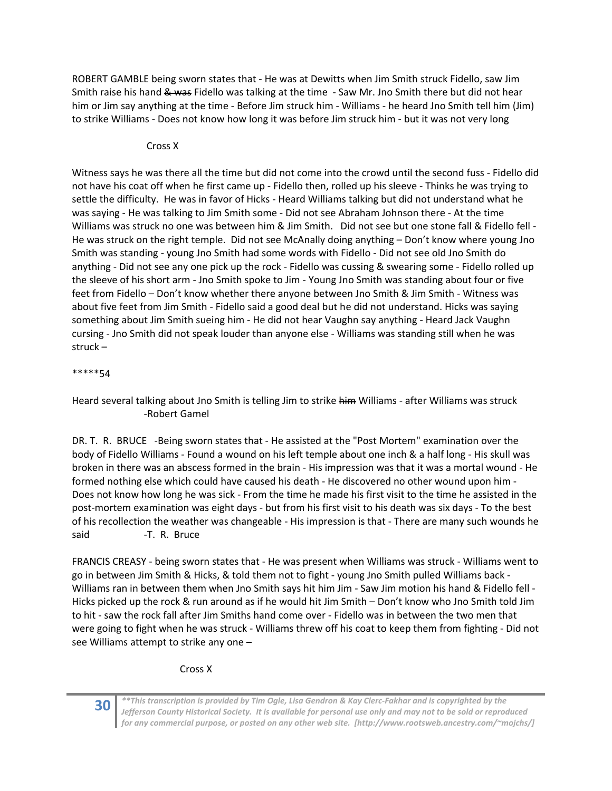ROBERT GAMBLE being sworn states that ‐ He was at Dewitts when Jim Smith struck Fidello, saw Jim Smith raise his hand & was Fidello was talking at the time - Saw Mr. Jno Smith there but did not hear him or Jim say anything at the time - Before Jim struck him - Williams - he heard Jno Smith tell him (Jim) to strike Williams ‐ Does not know how long it was before Jim struck him ‐ but it was not very long

## Cross X

Witness says he was there all the time but did not come into the crowd until the second fuss ‐ Fidello did not have his coat off when he first came up - Fidello then, rolled up his sleeve - Thinks he was trying to settle the difficulty. He was in favor of Hicks ‐ Heard Williams talking but did not understand what he was saying - He was talking to Jim Smith some - Did not see Abraham Johnson there - At the time Williams was struck no one was between him & Jim Smith. Did not see but one stone fall & Fidello fell -He was struck on the right temple. Did not see McAnally doing anything – Don't know where young Jno Smith was standing ‐ young Jno Smith had some words with Fidello ‐ Did not see old Jno Smith do anything ‐ Did not see any one pick up the rock ‐ Fidello was cussing & swearing some ‐ Fidello rolled up the sleeve of his short arm ‐ Jno Smith spoke to Jim ‐ Young Jno Smith was standing about four or five feet from Fidello – Don't know whether there anyone between Jno Smith & Jim Smith - Witness was about five feet from Jim Smith ‐ Fidello said a good deal but he did not understand. Hicks was saying something about Jim Smith sueing him ‐ He did not hear Vaughn say anything ‐ Heard Jack Vaughn cursing ‐ Jno Smith did not speak louder than anyone else ‐ Williams was standing still when he was struck –

## \*\*\*\*\*54

Heard several talking about Jno Smith is telling Jim to strike him Williams - after Williams was struck ‐Robert Gamel

DR. T. R. BRUCE -Being sworn states that - He assisted at the "Post Mortem" examination over the body of Fidello Williams ‐ Found a wound on his left temple about one inch & a half long ‐ His skull was broken in there was an abscess formed in the brain ‐ His impression was that it was a mortal wound ‐ He formed nothing else which could have caused his death ‐ He discovered no other wound upon him ‐ Does not know how long he was sick ‐ From the time he made his first visit to the time he assisted in the post‐mortem examination was eight days ‐ but from his first visit to his death was six days ‐ To the best of his recollection the weather was changeable ‐ His impression is that ‐ There are many such wounds he said **-T. R. Bruce** 

FRANCIS CREASY ‐ being sworn states that ‐ He was present when Williams was struck ‐ Williams went to go in between Jim Smith & Hicks, & told them not to fight ‐ young Jno Smith pulled Williams back ‐ Williams ran in between them when Jno Smith says hit him Jim - Saw Jim motion his hand & Fidello fell -Hicks picked up the rock & run around as if he would hit Jim Smith – Don't know who Jno Smith told Jim to hit - saw the rock fall after Jim Smiths hand come over - Fidello was in between the two men that were going to fight when he was struck ‐ Williams threw off his coat to keep them from fighting ‐ Did not see Williams attempt to strike any one –

## Cross X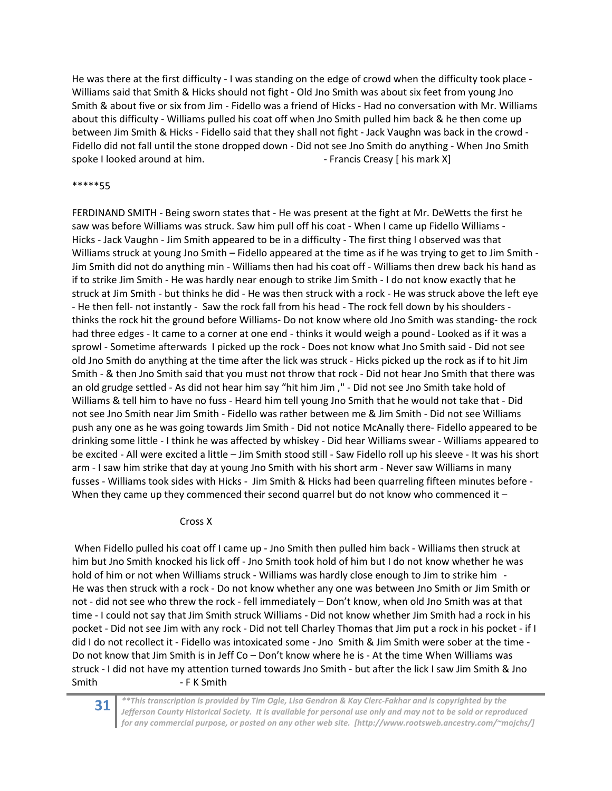He was there at the first difficulty - I was standing on the edge of crowd when the difficulty took place -Williams said that Smith & Hicks should not fight ‐ Old Jno Smith was about six feet from young Jno Smith & about five or six from Jim ‐ Fidello was a friend of Hicks ‐ Had no conversation with Mr. Williams about this difficulty ‐ Williams pulled his coat off when Jno Smith pulled him back & he then come up between Jim Smith & Hicks - Fidello said that they shall not fight - Jack Vaughn was back in the crowd -Fidello did not fall until the stone dropped down ‐ Did not see Jno Smith do anything ‐ When Jno Smith spoke I looked around at him. ‐ Francis Creasy [ his mark X]

#### \*\*\*\*\*55

FERDINAND SMITH ‐ Being sworn states that ‐ He was present at the fight at Mr. DeWetts the first he saw was before Williams was struck. Saw him pull off his coat ‐ When I came up Fidello Williams ‐ Hicks - Jack Vaughn - Jim Smith appeared to be in a difficulty - The first thing I observed was that Williams struck at young Jno Smith – Fidello appeared at the time as if he was trying to get to Jim Smith -Jim Smith did not do anything min ‐ Williams then had his coat off ‐ Williams then drew back his hand as if to strike Jim Smith ‐ He was hardly near enough to strike Jim Smith ‐ I do not know exactly that he struck at Jim Smith ‐ but thinks he did ‐ He was then struck with a rock ‐ He was struck above the left eye ‐ He then fell‐ not instantly ‐ Saw the rock fall from his head ‐ The rock fell down by his shoulders ‐ thinks the rock hit the ground before Williams‐ Do not know where old Jno Smith was standing‐ the rock had three edges - It came to a corner at one end - thinks it would weigh a pound - Looked as if it was a sprowl - Sometime afterwards I picked up the rock - Does not know what Jno Smith said - Did not see old Jno Smith do anything at the time after the lick was struck ‐ Hicks picked up the rock as if to hit Jim Smith ‐ & then Jno Smith said that you must not throw that rock ‐ Did not hear Jno Smith that there was an old grudge settled ‐ As did not hear him say "hit him Jim ," ‐ Did not see Jno Smith take hold of Williams & tell him to have no fuss ‐ Heard him tell young Jno Smith that he would not take that ‐ Did not see Jno Smith near Jim Smith ‐ Fidello was rather between me & Jim Smith ‐ Did not see Williams push any one as he was going towards Jim Smith ‐ Did not notice McAnally there‐ Fidello appeared to be drinking some little ‐ I think he was affected by whiskey ‐ Did hear Williams swear ‐ Williams appeared to be excited ‐ All were excited a little – Jim Smith stood still ‐ Saw Fidello roll up his sleeve ‐ It was his short arm - I saw him strike that day at young Jno Smith with his short arm - Never saw Williams in many fusses - Williams took sides with Hicks - Jim Smith & Hicks had been quarreling fifteen minutes before -When they came up they commenced their second quarrel but do not know who commenced it -

#### Cross X

When Fidello pulled his coat off I came up - Jno Smith then pulled him back - Williams then struck at him but Jno Smith knocked his lick off ‐ Jno Smith took hold of him but I do not know whether he was hold of him or not when Williams struck - Williams was hardly close enough to Jim to strike him -He was then struck with a rock ‐ Do not know whether any one was between Jno Smith or Jim Smith or not - did not see who threw the rock - fell immediately – Don't know, when old Jno Smith was at that time - I could not say that Jim Smith struck Williams - Did not know whether Jim Smith had a rock in his pocket ‐ Did not see Jim with any rock ‐ Did not tell Charley Thomas that Jim put a rock in his pocket ‐ if I did I do not recollect it - Fidello was intoxicated some - Jno Smith & Jim Smith were sober at the time -Do not know that Jim Smith is in Jeff Co – Don't know where he is ‐ At the time When Williams was struck ‐ I did not have my attention turned towards Jno Smith ‐ but after the lick I saw Jim Smith & Jno Smith ‐ F K Smith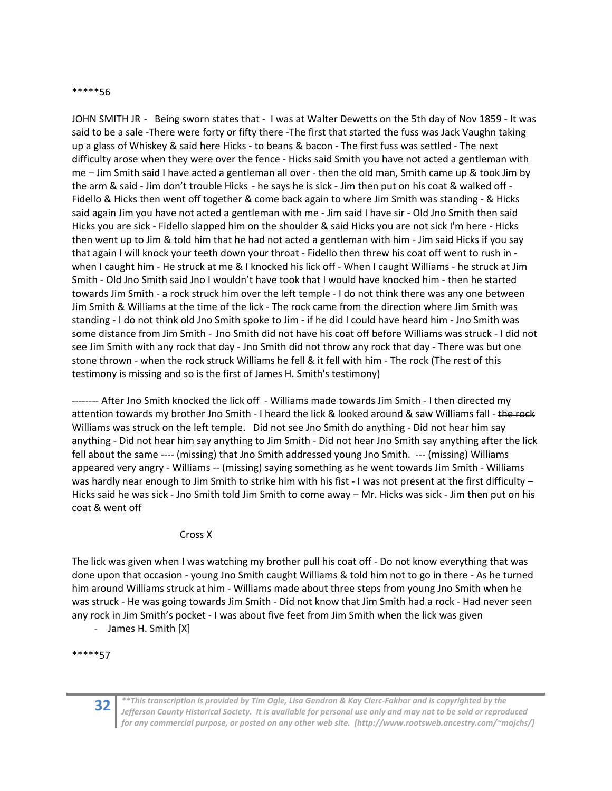#### \*\*\*\*\*56

JOHN SMITH JR ‐ Being sworn states that ‐ I was at Walter Dewetts on the 5th day of Nov 1859 ‐ It was said to be a sale -There were forty or fifty there -The first that started the fuss was Jack Vaughn taking up a glass of Whiskey & said here Hicks ‐ to beans & bacon ‐ The first fuss was settled ‐ The next difficulty arose when they were over the fence ‐ Hicks said Smith you have not acted a gentleman with me – Jim Smith said I have acted a gentleman all over ‐ then the old man, Smith came up & took Jim by the arm & said - Jim don't trouble Hicks - he says he is sick - Jim then put on his coat & walked off -Fidello & Hicks then went off together & come back again to where Jim Smith was standing ‐ & Hicks said again Jim you have not acted a gentleman with me - Jim said I have sir - Old Jno Smith then said Hicks you are sick ‐ Fidello slapped him on the shoulder & said Hicks you are not sick I'm here ‐ Hicks then went up to Jim & told him that he had not acted a gentleman with him ‐ Jim said Hicks if you say that again I will knock your teeth down your throat - Fidello then threw his coat off went to rush in when I caught him - He struck at me & I knocked his lick off - When I caught Williams - he struck at Jim Smith ‐ Old Jno Smith said Jno I wouldn't have took that I would have knocked him ‐ then he started towards Jim Smith ‐ a rock struck him over the left temple ‐ I do not think there was any one between Jim Smith & Williams at the time of the lick ‐ The rock came from the direction where Jim Smith was standing ‐ I do not think old Jno Smith spoke to Jim ‐ if he did I could have heard him ‐ Jno Smith was some distance from Jim Smith ‐ Jno Smith did not have his coat off before Williams was struck ‐ I did not see Jim Smith with any rock that day ‐ Jno Smith did not throw any rock that day ‐ There was but one stone thrown ‐ when the rock struck Williams he fell & it fell with him ‐ The rock (The rest of this testimony is missing and so is the first of James H. Smith's testimony)

‐‐‐‐‐‐‐‐ After Jno Smith knocked the lick off ‐ Williams made towards Jim Smith ‐ I then directed my attention towards my brother Jno Smith - I heard the lick & looked around & saw Williams fall - the rock Williams was struck on the left temple. Did not see Jno Smith do anything - Did not hear him say anything ‐ Did not hear him say anything to Jim Smith ‐ Did not hear Jno Smith say anything after the lick fell about the same ---- (missing) that Jno Smith addressed young Jno Smith. --- (missing) Williams appeared very angry ‐ Williams ‐‐ (missing) saying something as he went towards Jim Smith ‐ Williams was hardly near enough to Jim Smith to strike him with his fist - I was not present at the first difficulty – Hicks said he was sick ‐ Jno Smith told Jim Smith to come away – Mr. Hicks was sick ‐ Jim then put on his coat & went off

## Cross X

The lick was given when I was watching my brother pull his coat off ‐ Do not know everything that was done upon that occasion ‐ young Jno Smith caught Williams & told him not to go in there ‐ As he turned him around Williams struck at him - Williams made about three steps from young Jno Smith when he was struck - He was going towards Jim Smith - Did not know that Jim Smith had a rock - Had never seen any rock in Jim Smith's pocket - I was about five feet from Jim Smith when the lick was given

‐ James H. Smith [X]

\*\*\*\*\*57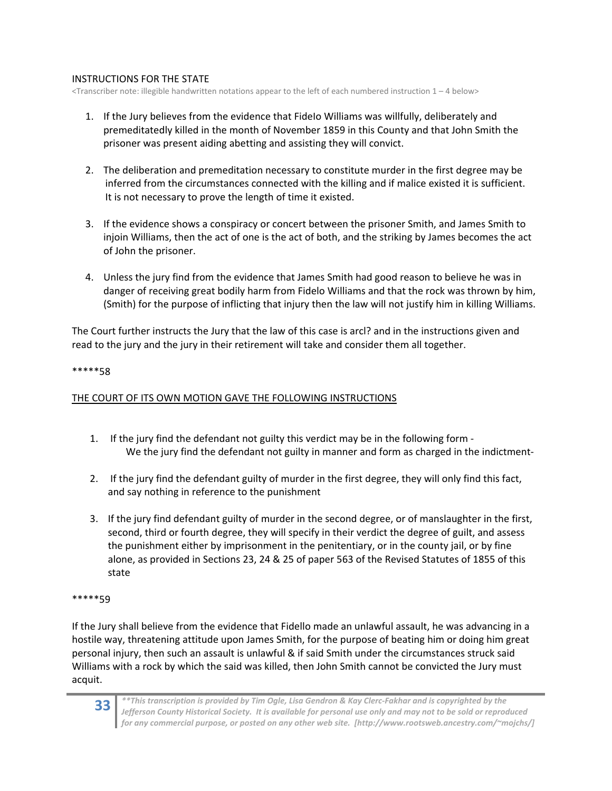## INSTRUCTIONS FOR THE STATE

<Transcriber note: illegible handwritten notations appear to the left of each numbered instruction 1 – 4 below>

- 1. If the Jury believes from the evidence that FideIo Williams was willfully, deliberately and premeditatedly killed in the month of November 1859 in this County and that John Smith the prisoner was present aiding abetting and assisting they will convict.
- 2. The deliberation and premeditation necessary to constitute murder in the first degree may be inferred from the circumstances connected with the killing and if malice existed it is sufficient. It is not necessary to prove the length of time it existed.
- 3. If the evidence shows a conspiracy or concert between the prisoner Smith, and James Smith to injoin Williams, then the act of one is the act of both, and the striking by James becomes the act of John the prisoner.
- 4. Unless the jury find from the evidence that James Smith had good reason to believe he was in danger of receiving great bodily harm from Fidelo Williams and that the rock was thrown by him, (Smith) for the purpose of inflicting that injury then the law will not justify him in killing Williams.

The Court further instructs the Jury that the law of this case is arcl? and in the instructions given and read to the jury and the jury in their retirement will take and consider them all together.

## \*\*\*\*\*58

## THE COURT OF ITS OWN MOTION GAVE THE FOLLOWING INSTRUCTIONS

- 1. If the jury find the defendant not guilty this verdict may be in the following form ‐ We the jury find the defendant not guilty in manner and form as charged in the indictment-
- 2. If the jury find the defendant guilty of murder in the first degree, they will only find this fact, and say nothing in reference to the punishment
- 3. If the jury find defendant guilty of murder in the second degree, or of manslaughter in the first, second, third or fourth degree, they will specify in their verdict the degree of guilt, and assess the punishment either by imprisonment in the penitentiary, or in the county jail, or by fine alone, as provided in Sections 23, 24 & 25 of paper 563 of the Revised Statutes of 1855 of this state

#### \*\*\*\*\*59

If the Jury shall believe from the evidence that Fidello made an unlawful assault, he was advancing in a hostile way, threatening attitude upon James Smith, for the purpose of beating him or doing him great personal injury, then such an assault is unlawful & if said Smith under the circumstances struck said Williams with a rock by which the said was killed, then John Smith cannot be convicted the Jury must acquit.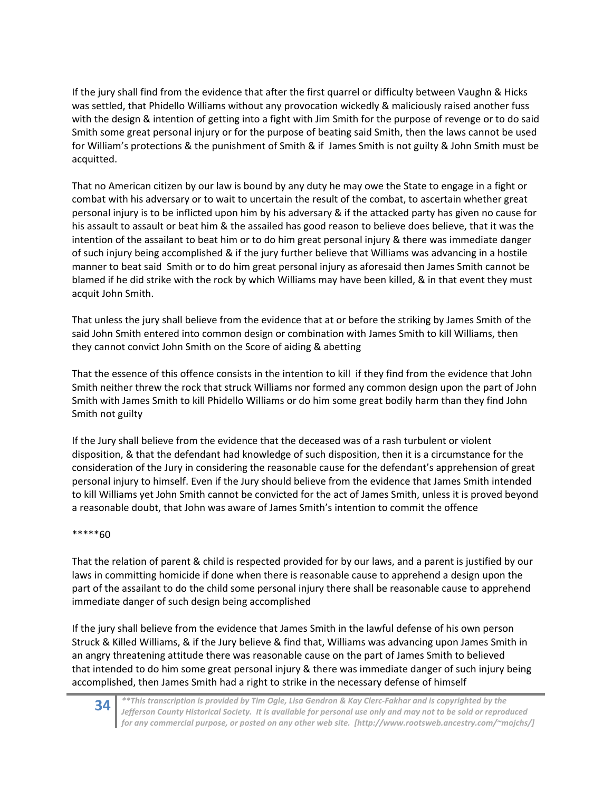If the jury shall find from the evidence that after the first quarrel or difficulty between Vaughn & Hicks was settled, that Phidello Williams without any provocation wickedly & maliciously raised another fuss with the design & intention of getting into a fight with Jim Smith for the purpose of revenge or to do said Smith some great personal injury or for the purpose of beating said Smith, then the laws cannot be used for William's protections & the punishment of Smith & if James Smith is not guilty & John Smith must be acquitted.

That no American citizen by our law is bound by any duty he may owe the State to engage in a fight or combat with his adversary or to wait to uncertain the result of the combat, to ascertain whether great personal injury is to be inflicted upon him by his adversary & if the attacked party has given no cause for his assault to assault or beat him & the assailed has good reason to believe does believe, that it was the intention of the assailant to beat him or to do him great personal injury & there was immediate danger of such injury being accomplished & if the jury further believe that Williams was advancing in a hostile manner to beat said Smith or to do him great personal injury as aforesaid then James Smith cannot be blamed if he did strike with the rock by which Williams may have been killed, & in that event they must acquit John Smith.

That unless the jury shall believe from the evidence that at or before the striking by James Smith of the said John Smith entered into common design or combination with James Smith to kill Williams, then they cannot convict John Smith on the Score of aiding & abetting

That the essence of this offence consists in the intention to kill if they find from the evidence that John Smith neither threw the rock that struck Williams nor formed any common design upon the part of John Smith with James Smith to kill Phidello Williams or do him some great bodily harm than they find John Smith not guilty

If the Jury shall believe from the evidence that the deceased was of a rash turbulent or violent disposition, & that the defendant had knowledge of such disposition, then it is a circumstance for the consideration of the Jury in considering the reasonable cause for the defendant's apprehension of great personal injury to himself. Even if the Jury should believe from the evidence that James Smith intended to kill Williams yet John Smith cannot be convicted for the act of James Smith, unless it is proved beyond a reasonable doubt, that John was aware of James Smith's intention to commit the offence

## \*\*\*\*\*60

That the relation of parent & child is respected provided for by our laws, and a parent is justified by our laws in committing homicide if done when there is reasonable cause to apprehend a design upon the part of the assailant to do the child some personal injury there shall be reasonable cause to apprehend immediate danger of such design being accomplished

If the jury shall believe from the evidence that James Smith in the lawful defense of his own person Struck & Killed Williams, & if the Jury believe & find that, Williams was advancing upon James Smith in an angry threatening attitude there was reasonable cause on the part of James Smith to believed that intended to do him some great personal injury & there was immediate danger of such injury being accomplished, then James Smith had a right to strike in the necessary defense of himself